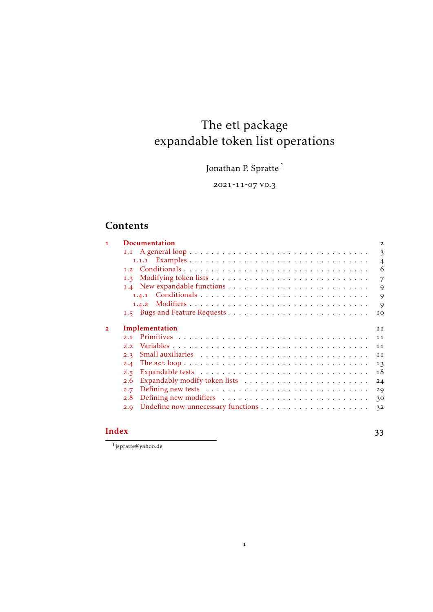# The etl package expandable token list operations

Jonathan P. Spratte $^\mathsf{\mathsf{F}}$ 

-11-07 v0.3

# **Contents**

| 1              | <b>Documentation</b> | $\mathbf{2}$   |
|----------------|----------------------|----------------|
|                |                      | 3              |
|                |                      | $\overline{4}$ |
|                |                      | 6              |
|                | 1.3                  | 7              |
|                |                      | 9              |
|                |                      | 9              |
|                |                      | 9              |
|                |                      | 10             |
| $\overline{2}$ | Implementation       | 11             |
|                | 2.1                  | 11             |
|                | 2.2                  | 11             |
|                | 2.3                  | 11             |
|                | 2.4                  | 13             |
|                | 2.5                  | 18             |
|                | 2.6                  | 24             |
|                | 2.7                  | 29             |
|                | 2.8                  |                |
|                |                      | 30             |
|                | 2.9                  | 3 <sup>2</sup> |

# **[Index](#page-32-0)** 33

 $\lceil$ jspratte@yahoo.de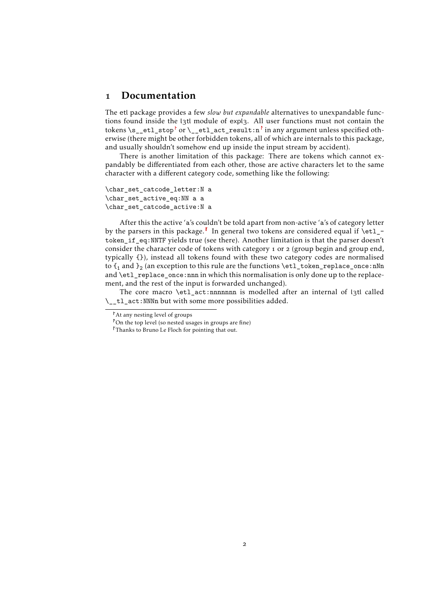# <span id="page-1-4"></span><span id="page-1-0"></span>1 Documentation

The etl package provides a few *slow but expandable* alternatives to unexpandable functions found inside the l3tl module of expl3. All user functions must not contain the tokens \s\_etl\_sto[p](#page-1-1)<sup>t</sup> or \\_etl\_act\_result:[n](#page-1-2)<sup>t</sup> in any argument unless specified otherwise (there might be other forbidden tokens, all of which are internals to this package, and usually shouldn't somehow end up inside the input stream by accident).

There is another limitation of this package: There are tokens which cannot expandably be differentiated from each other, those are active characters let to the same character with a different category code, something like the following:

\char\_set\_catcode\_letter:N a \char\_set\_active\_eq:NN a a \char\_set\_catcode\_active:N a

After this the active 'a's couldn't be told apart from non-active 'a's of category letter by the parsers in this package[.](#page-1-3)<sup> $\lceil$ </sup> In general two tokens are considered equal if \etl\_token\_if\_eq:NNTF yields true (see there). Another limitation is that the parser doesn't consider the character code of tokens with category 1 or 2 (group begin and group end, typically {}), instead all tokens found with these two category codes are normalised to  $\mathfrak{t}_1$  and  $\mathfrak{t}_2$  (an exception to this rule are the functions  $\texttt{t1\_token\_replace\_once}$  :nNn and  $\et{et1 replace once:nnn in which this normalisation is only done up to the replace$ ment, and the rest of the input is forwarded unchanged).

The core macro \etl\_act:nnnnnnn is modelled after an internal of l3tl called \\_\_tl\_act:NNNn but with some more possibilities added.

<span id="page-1-1"></span>At any nesting level of groups

<span id="page-1-2"></span>On the top level (so nested usages in groups are fine)

<span id="page-1-3"></span>Thanks to Bruno Le Floch for pointing that out.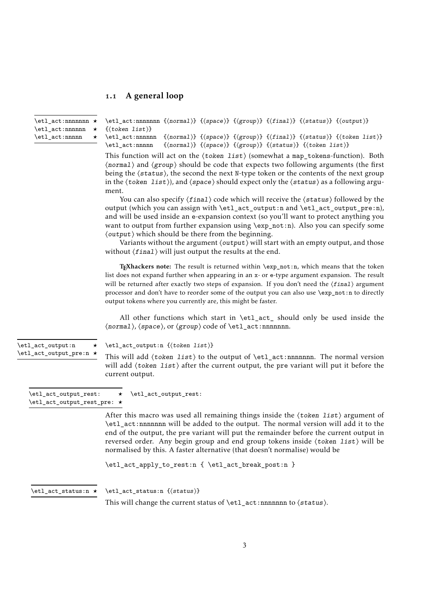# <span id="page-2-5"></span><span id="page-2-0"></span>1.1 A general loop

<span id="page-2-4"></span><span id="page-2-3"></span><span id="page-2-2"></span><span id="page-2-1"></span>

| \etl_act:nnnnnnn ★<br>$\verb \et _act:nnnnnn$           | \etl_act:nnnnnnn {(normal)} {(space)} {(group)} {(final)} {(status)} {(output)}<br>$\{\langle \text{token list} \rangle\}$                                                                                                                                                                                                                                                                                                                                                                                                                                                                                                           |  |  |  |  |  |  |  |  |  |
|---------------------------------------------------------|--------------------------------------------------------------------------------------------------------------------------------------------------------------------------------------------------------------------------------------------------------------------------------------------------------------------------------------------------------------------------------------------------------------------------------------------------------------------------------------------------------------------------------------------------------------------------------------------------------------------------------------|--|--|--|--|--|--|--|--|--|
| \etl_act:nnnnn<br>*                                     | \etl_act:nnnnnn {\normal}} {\space}} {\group}} {\final}} {\status}} {\token list}}<br>$\{\langle normal \rangle\}$ $\{\langle space \rangle\}$ $\{\langle group \rangle\}$ $\{\langle status \rangle\}$ $\{\langle token list \rangle\}$<br>\etl_act:nnnnn                                                                                                                                                                                                                                                                                                                                                                           |  |  |  |  |  |  |  |  |  |
|                                                         | This function will act on the $\langle \text{token list} \rangle$ (somewhat a map_tokens-function). Both<br>(normal) and (group) should be code that expects two following arguments (the first<br>being the (status), the second the next N-type token or the contents of the next group<br>in the $\langle \text{token list} \rangle$ , and $\langle \text{space} \rangle$ should expect only the $\langle \text{status} \rangle$ as a following argu-                                                                                                                                                                             |  |  |  |  |  |  |  |  |  |
|                                                         | ment.<br>You can also specify $\langle final \rangle$ code which will receive the $\langle status \rangle$ followed by the<br>output (which you can assign with \etl_act_output:n and \etl_act_output_pre:n),<br>and will be used inside an e-expansion context (so you'll want to protect anything you<br>want to output from further expansion using \exp_not:n). Also you can specify some<br>(output) which should be there from the beginning.<br>Variants without the argument $\langle output \rangle$ will start with an empty output, and those<br>without $\langle final \rangle$ will just output the results at the end. |  |  |  |  |  |  |  |  |  |
|                                                         | TEXhackers note: The result is returned within \exp_not:n, which means that the token<br>list does not expand further when appearing in an x- or e-type argument expansion. The result<br>will be returned after exactly two steps of expansion. If you don't need the (final) argument<br>processor and don't have to reorder some of the output you can also use \exp_not:n to directly<br>output tokens where you currently are, this might be faster.                                                                                                                                                                            |  |  |  |  |  |  |  |  |  |
|                                                         | All other functions which start in \etl_act_ should only be used inside the<br>$\langle normal \rangle$ , $\langle space \rangle$ , or $\langle group \rangle$ code of $\texttt{act:nnnnnnnn}.$                                                                                                                                                                                                                                                                                                                                                                                                                                      |  |  |  |  |  |  |  |  |  |
| \etl_act_output:n<br>$\star$<br>\etl_act_output_pre:n * | \etl_act_output:n {\token list}}<br>This will add $\langle \text{token list} \rangle$ to the output of $\text{letl}_\text{act:nnnnnnnn.}$ The normal version                                                                                                                                                                                                                                                                                                                                                                                                                                                                         |  |  |  |  |  |  |  |  |  |
|                                                         | will add $\langle \text{token list} \rangle$ after the current output, the pre variant will put it before the<br>current output.                                                                                                                                                                                                                                                                                                                                                                                                                                                                                                     |  |  |  |  |  |  |  |  |  |
| \etl_act_output_rest:<br>\etl_act_output_rest_pre: *    | \etl_act_output_rest:<br>*                                                                                                                                                                                                                                                                                                                                                                                                                                                                                                                                                                                                           |  |  |  |  |  |  |  |  |  |
|                                                         | After this macro was used all remaining things inside the $\langle \text{token list} \rangle$ argument of<br>\etl_act:nnnnnnn will be added to the output. The normal version will add it to the<br>end of the output, the pre variant will put the remainder before the current output in<br>reversed order. Any begin group and end group tokens inside (token list) will be<br>normalised by this. A faster alternative (that doesn't normalise) would be                                                                                                                                                                         |  |  |  |  |  |  |  |  |  |
|                                                         | \etl_act_apply_to_rest:n { \etl_act_break_post:n }                                                                                                                                                                                                                                                                                                                                                                                                                                                                                                                                                                                   |  |  |  |  |  |  |  |  |  |
| $\texttt{let}\_act\_status:n \star$                     | \etl_act_status:n {(status)}<br>This will change the current status of $\et{1}_\act:nnnnnnnn$ to $\status$ .                                                                                                                                                                                                                                                                                                                                                                                                                                                                                                                         |  |  |  |  |  |  |  |  |  |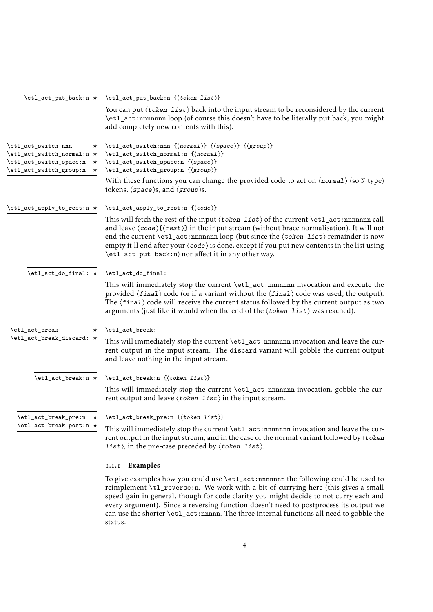<span id="page-3-8"></span><span id="page-3-7"></span><span id="page-3-3"></span><span id="page-3-2"></span><span id="page-3-1"></span>

| \etl_act_put_back:n ★                                                                                                                    | \etl_act_put_back:n {\token list}}                                                                                                                                                                                                                                                                                                                                                                                                                                                                               |  |  |  |  |  |
|------------------------------------------------------------------------------------------------------------------------------------------|------------------------------------------------------------------------------------------------------------------------------------------------------------------------------------------------------------------------------------------------------------------------------------------------------------------------------------------------------------------------------------------------------------------------------------------------------------------------------------------------------------------|--|--|--|--|--|
|                                                                                                                                          | You can put (token list) back into the input stream to be reconsidered by the current<br>\etl_act:nnnnnnn loop (of course this doesn't have to be literally put back, you might<br>add completely new contents with this).                                                                                                                                                                                                                                                                                       |  |  |  |  |  |
| \etl_act_switch:nnn<br>$\star$<br>\etl_act_switch_normal:n ★<br>\etl_act_switch_space:n<br>$\star$<br>\etl_act_switch_group:n<br>$\star$ | \etl_act_switch:nnn {\normal}} {\space}} {\group}}<br>\etl_act_switch_normal:n {\normal}}<br>\etl_act_switch_space:n {\space}}<br>\etl_act_switch_group:n {\group}}                                                                                                                                                                                                                                                                                                                                              |  |  |  |  |  |
|                                                                                                                                          | With these functions you can change the provided code to act on $\langle$ normal $\rangle$ (so N-type)<br>tokens, (space)s, and (group)s.                                                                                                                                                                                                                                                                                                                                                                        |  |  |  |  |  |
| \etl_act_apply_to_rest:n *                                                                                                               | \etl_act_apply_to_rest:n {\code}}                                                                                                                                                                                                                                                                                                                                                                                                                                                                                |  |  |  |  |  |
|                                                                                                                                          | This will fetch the rest of the input $\langle$ token list $\rangle$ of the current $\text{let}_\text{act:nnnnnnnn}$ call<br>and leave $\langle code \rangle {\langle rest \rangle}$ in the input stream (without brace normalisation). It will not<br>end the current \etl_act:nnnnnnn loop (but since the (token list) remainder is now<br>empty it'll end after your $\langle code \rangle$ is done, except if you put new contents in the list using<br>\etl_act_put_back:n) nor affect it in any other way. |  |  |  |  |  |
| $\verb+\et_act_do_final: ~\star$                                                                                                         | \etl_act_do_final:                                                                                                                                                                                                                                                                                                                                                                                                                                                                                               |  |  |  |  |  |
|                                                                                                                                          | This will immediately stop the current \et1_act:nnnnnnn invocation and execute the<br>provided $\langle final \rangle$ code (or if a variant without the $\langle final \rangle$ code was used, the output).<br>The $\langle final \rangle$ code will receive the current status followed by the current output as two<br>arguments (just like it would when the end of the $\langle$ token $list \rangle$ was reached).                                                                                         |  |  |  |  |  |
| \etl_act_break:<br>$\star$                                                                                                               | \etl_act_break:                                                                                                                                                                                                                                                                                                                                                                                                                                                                                                  |  |  |  |  |  |
| \etl_act_break_discard: ★                                                                                                                | This will immediately stop the current \et1_act:nnnnnnn invocation and leave the cur-<br>rent output in the input stream. The discard variant will gobble the current output<br>and leave nothing in the input stream.                                                                                                                                                                                                                                                                                           |  |  |  |  |  |
| \etl_act_break:n ★                                                                                                                       | $\left\{ \text{total}_\text{act\_break:n} \right\}$                                                                                                                                                                                                                                                                                                                                                                                                                                                              |  |  |  |  |  |
|                                                                                                                                          | This will immediately stop the current \et1_act:nnnnnnn invocation, gobble the cur-<br>rent output and leave $\langle \text{token list} \rangle$ in the input stream.                                                                                                                                                                                                                                                                                                                                            |  |  |  |  |  |
| \etl_act_break_pre:n *                                                                                                                   | \etl_act_break_pre:n {\token list}}                                                                                                                                                                                                                                                                                                                                                                                                                                                                              |  |  |  |  |  |
| \etl_act_break_post:n ★                                                                                                                  | This will immediately stop the current \etl_act:nnnnnnn invocation and leave the cur-<br>rent output in the input stream, and in the case of the normal variant followed by (token<br>$list$ , in the pre-case preceded by $\langle$ token list $\rangle$ .                                                                                                                                                                                                                                                      |  |  |  |  |  |
|                                                                                                                                          | 1.1.1 Examples                                                                                                                                                                                                                                                                                                                                                                                                                                                                                                   |  |  |  |  |  |

<span id="page-3-6"></span><span id="page-3-5"></span><span id="page-3-4"></span><span id="page-3-0"></span>To give examples how you could use \etl\_act:nnnnnnn the following could be used to reimplement \tl\_reverse:n. We work with a bit of currying here (this gives a small speed gain in general, though for code clarity you might decide to not curry each and every argument). Since a reversing function doesn't need to postprocess its output we can use the shorter \etl\_act:nnnnn. The three internal functions all need to gobble the status.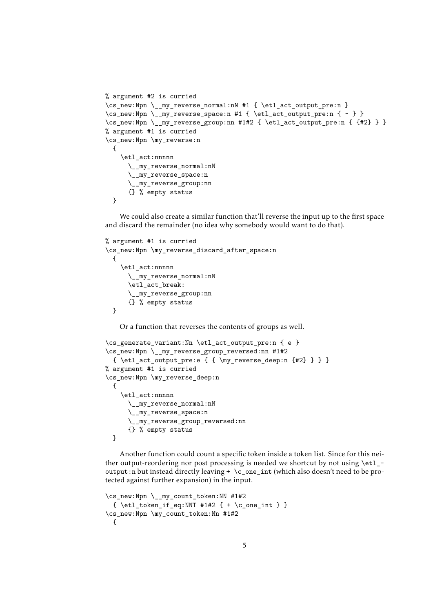```
% argument #2 is curried
\cs_new:Npn \__my_reverse_normal:nN #1 { \etl_act_output_pre:n }
\cs_new:Npn \__my_reverse_space:n #1 { \etl_act_output_pre:n { ~ } }
\cs_new:Npn \__my_reverse_group:nn #1#2 { \etl_act_output_pre:n { {#2} } }
% argument #1 is curried
\cs_new:Npn \my_reverse:n
  {
    \etl_act:nnnnn
      \__my_reverse_normal:nN
      \__my_reverse_space:n
      \__my_reverse_group:nn
     {} % empty status
  }
```
We could also create a similar function that'll reverse the input up to the first space and discard the remainder (no idea why somebody would want to do that).

```
% argument #1 is curried
\cs_new:Npn \my_reverse_discard_after_space:n
  {
    \etl_act:nnnnn
      \__my_reverse_normal:nN
      \etl_act_break:
      \__my_reverse_group:nn
      {} % empty status
  }
```
Or a function that reverses the contents of groups as well.

```
\cs_generate_variant:Nn \etl_act_output_pre:n { e }
\cs_new:Npn \__my_reverse_group_reversed:nn #1#2
 { \etl_act_output_pre:e { { \my_reverse_deep:n {#2} } } }
% argument #1 is curried
\cs_new:Npn \my_reverse_deep:n
 {
   \etl_act:nnnnn
      \__my_reverse_normal:nN
      \__my_reverse_space:n
      \__my_reverse_group_reversed:nn
      {} % empty status
 }
```
Another function could count a specific token inside a token list. Since for this neither output-reordering nor post processing is needed we shortcut by not using \etl\_ output:n but instead directly leaving + \c\_one\_int (which also doesn't need to be protected against further expansion) in the input.

```
\cs_new:Npn \__my_count_token:NN #1#2
 { \etl_token_if_eq:NNT #1#2 { + \c_one_int } }
\cs_new:Npn \my_count_token:Nn #1#2
 {
```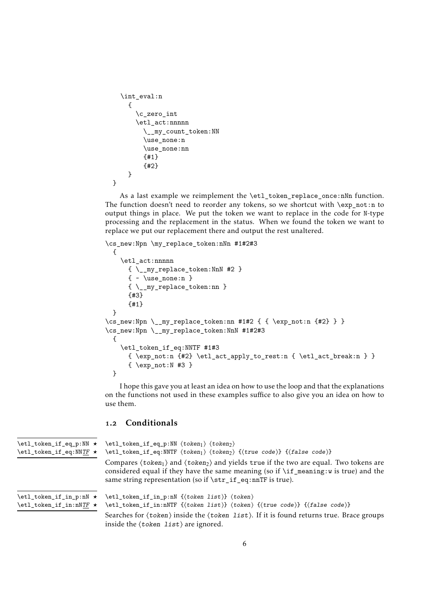```
\int_eval:n
    {
      \c_zero_int
      \etl_act:nnnnn
        \__my_count_token:NN
        \use_none:n
        \use_none:nn
        {#1}
        {#2}
    }
}
```
As a last example we reimplement the \etl\_token\_replace\_once:nNn function. The function doesn't need to reorder any tokens, so we shortcut with \exp\_not:n to output things in place. We put the token we want to replace in the code for N-type processing and the replacement in the status. When we found the token we want to replace we put our replacement there and output the rest unaltered.

```
\cs_new:Npn \my_replace_token:nNn #1#2#3
 {
   \etl_act:nnnnn
     { \__my_replace_token:NnN #2 }
     \{ \ \cdot \ \text{use\_none:n } \}{ \__my_replace_token:nn }
     {#3}
     {#1}
 }
\cs_{new: Npn} \_{my_replace\_token:nn #1#2 { } \exp_{not:n {#2}} }\cs_new:Npn \__my_replace_token:NnN #1#2#3
 {
   \etl_token_if_eq:NNTF #1#3
      \{ \exp_{\text{max}} \setminus \{ \} \}\{ \exp not: N \#3 \}}
```
I hope this gave you at least an idea on how to use the loop and that the explanations on the functions not used in these examples suffice to also give you an idea on how to use them.

# <span id="page-5-0"></span>1.2 Conditionals

```
\etl_token_if_eq_p:NN ⟨token1⟩ ⟨token2⟩
                              \etl_token_if_eq:NNTF ⟨token1⟩ ⟨token2⟩ {⟨true code⟩} {⟨false code⟩}
                              Compares \langle \text{token}_1 \rangle and \langle \text{token}_2 \rangle and yields true if the two are equal. Two tokens are
                              considered equal if they have the same meaning (so if \if meaning:w is true) and the
                              same string representation (so if \str_if_eq:nnTF is true).
\etl_token_if_eq_p:NN ⋆
\etl_token_if_eq:NNTF ⋆
                              \etl_token_if_in_p:nN {⟨token list⟩} ⟨token⟩
                              \etl_token_if_in:nNTF {⟨token list⟩} ⟨token⟩ {⟨true code⟩} {⟨false code⟩}
                              Searches for \langle \text{token} \rangle inside the \langle \text{token list} \rangle. If it is found returns true. Brace groups
                              inside the ⟨token list⟩ are ignored.
\etl_token_if_in_p:nN ⋆
\etl_token_if_in:nNTF ⋆
```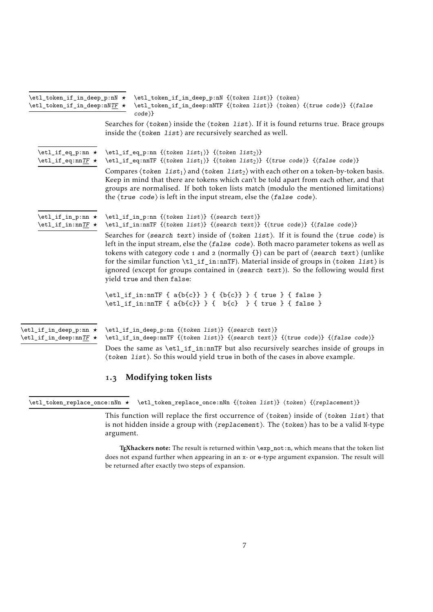<span id="page-6-6"></span><span id="page-6-3"></span><span id="page-6-2"></span><span id="page-6-1"></span>

| $\texttt{letl\_token\_if\_in\_deep:nNTF} \star$     | \etl_token_if_in_deep_p:nN * \etl_token_if_in_deep_p:nN {\token list}} \token}<br>\etl_token_if_in_deep:nNTF {(token list)} (token) {(true code)} {(false<br>$code\rangle\}$                                                                                                                                                                                                                                                                                                                                                                                                                                                    |
|-----------------------------------------------------|---------------------------------------------------------------------------------------------------------------------------------------------------------------------------------------------------------------------------------------------------------------------------------------------------------------------------------------------------------------------------------------------------------------------------------------------------------------------------------------------------------------------------------------------------------------------------------------------------------------------------------|
|                                                     | Searches for (token) inside the (token list). If it is found returns true. Brace groups<br>inside the $\langle \text{token list} \rangle$ are recursively searched as well.                                                                                                                                                                                                                                                                                                                                                                                                                                                     |
| \etl_if_eq_p:nn *<br>$\text{letl}_if_eq:nnTF \star$ | $\text{letl}_i_{eq\_p:nn} \{ \text{token list}_i \} \{ \text{token list}_2 \}$<br>$\left\{ \cdot \left( \cdot \right) \right\}$ { $\left\{ \cdot \left( \cdot \right) \right\}$ { $\left\{ \cdot \right\}$ } { $\left\{ \cdot \right\}$ } { $\left\{ \cdot \right\}$ } { $\left\{ \cdot \right\}$ }                                                                                                                                                                                                                                                                                                                             |
|                                                     | Compares $\langle \text{token list}_1 \rangle$ and $\langle \text{token list}_2 \rangle$ with each other on a token-by-token basis.<br>Keep in mind that there are tokens which can't be told apart from each other, and that<br>groups are normalised. If both token lists match (modulo the mentioned limitations)<br>the $\langle true \ code \rangle$ is left in the input stream, else the $\langle false \ code \rangle$ .                                                                                                                                                                                                |
| \etl_if_in_p:nn *<br>$\text{letl}_if_in:nnTF \star$ | \etl_if_in_p:nn {(token list)} {(search text)}<br>\etl_if_in:nnTF {\token list}} {\search text}} {\true code}} {\false code}}                                                                                                                                                                                                                                                                                                                                                                                                                                                                                                   |
|                                                     | Searches for $\langle$ search text $\rangle$ inside of $\langle$ token list $\rangle$ . If it is found the $\langle$ true code $\rangle$ is<br>left in the input stream, else the $\langle false \, code \rangle$ . Both macro parameter tokens as well as<br>tokens with category code 1 and 2 (normally {}) can be part of $\langle$ search text $\rangle$ (unlike<br>for the similar function $\tilde{\text{t}}_i$ in: nnTF). Material inside of groups in $\langle$ token list) is<br>ignored (except for groups contained in $\langle$ search text $\rangle$ ). So the following would first<br>yield true and then false: |
|                                                     | \etl_if_in:nnTF { a{b{c}} } { {b{c}} } { true } { false }<br>\etl_if_in:nnTF { a{b{c}} } { b{c} } { true } { false }                                                                                                                                                                                                                                                                                                                                                                                                                                                                                                            |
| \etl_if_in_deep_p:nn *<br>\etl_if_in_deep:nnTF *    | \etl_if_in_deep_p:nn {(token list)} {(search text)}<br>\etl_if_in_deep:nnTF {\token list}} {\search text}} {\true code}} {\false code}}<br>Does the same as \etl_if_in:nnTF but also recursively searches inside of groups in<br>(token list). So this would yield true in both of the cases in above example.                                                                                                                                                                                                                                                                                                                  |

# <span id="page-6-0"></span>1.3 Modifying token lists

<span id="page-6-5"></span><span id="page-6-4"></span>\etl\_token\_replace\_once:nNn *⋆* \etl\_token\_replace\_once:nNn {⟨token list⟩} ⟨token⟩ {⟨replacement⟩}

This function will replace the first occurrence of  $\langle \text{token} \rangle$  inside of  $\langle \text{token list} \rangle$  that is not hidden inside a group with ⟨replacement⟩. The ⟨token⟩ has to be a valid N-type argument.

TEXhackers note: The result is returned within \exp\_not:n, which means that the token list does not expand further when appearing in an x- or e-type argument expansion. The result will be returned after exactly two steps of expansion.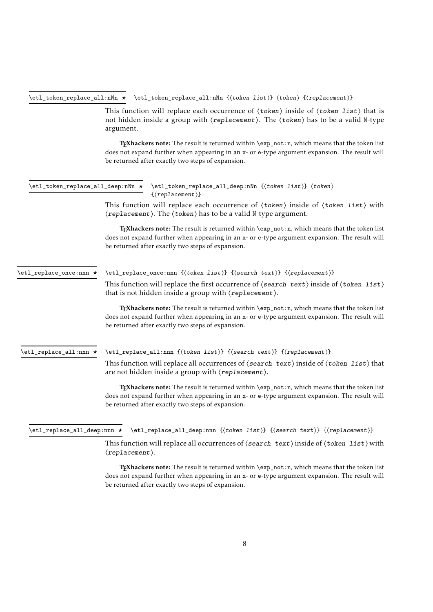<span id="page-7-0"></span>\etl\_token\_replace\_all:nNn *⋆* \etl\_token\_replace\_all:nNn {⟨token list⟩} ⟨token⟩ {⟨replacement⟩}

<span id="page-7-5"></span>This function will replace each occurrence of  $\langle \text{token} \rangle$  inside of  $\langle \text{token list} \rangle$  that is not hidden inside a group with ⟨replacement⟩. The ⟨token⟩ has to be a valid N-type argument.

TEXhackers note: The result is returned within \exp\_not:n, which means that the token list does not expand further when appearing in an x- or e-type argument expansion. The result will be returned after exactly two steps of expansion.

<span id="page-7-4"></span><span id="page-7-1"></span>

|                         | \etl_token_replace_all_deep:nNn * \etl_token_replace_all_deep:nNn {(token list)} (token)<br>$\{(replacent)\}$                                                                                                                                                 |  |  |  |  |  |  |
|-------------------------|---------------------------------------------------------------------------------------------------------------------------------------------------------------------------------------------------------------------------------------------------------------|--|--|--|--|--|--|
|                         | This function will replace each occurrence of $\langle$ token $\rangle$ inside of $\langle$ token list $\rangle$ with<br>$\langle$ replacement $\rangle$ . The $\langle$ token $\rangle$ has to be a valid N-type argument.                                   |  |  |  |  |  |  |
|                         | T <sub>E</sub> Xhackers note: The result is returned within \exp_not:n, which means that the token list<br>does not expand further when appearing in an x- or e-type argument expansion. The result will<br>be returned after exactly two steps of expansion. |  |  |  |  |  |  |
| \etl_replace_once:nnn ★ | \etl_replace_once:nnn {(token list)} {(search text)} {(replacement)}                                                                                                                                                                                          |  |  |  |  |  |  |
|                         | This function will replace the first occurrence of $\langle$ search text $\rangle$ inside of $\langle$ token list $\rangle$<br>that is not hidden inside a group with $\langle$ replacement $\rangle$ .                                                       |  |  |  |  |  |  |
|                         | T <sub>E</sub> Xhackers note: The result is returned within \exp_not:n, which means that the token list<br>does not expand further when appearing in an x- or e-type argument expansion. The result will<br>be returned after exactly two steps of expansion. |  |  |  |  |  |  |
| \etl_replace_all:nnn ★  | $\left\{\text{replace}_all:\text{min } \{(token\ list)\} \ \{(\text{replace}_b)\}\right\}$                                                                                                                                                                    |  |  |  |  |  |  |
|                         | This function will replace all occurrences of $\langle$ search text $\rangle$ inside of $\langle$ token list $\rangle$ that<br>are not hidden inside a group with $\langle$ replacement $\rangle$ .                                                           |  |  |  |  |  |  |
|                         | TEXhackers note: The result is returned within \exp_not:n, which means that the token list<br>does not expand further when appearing in an x- or e-type argument expansion. The result will<br>be returned after exactly two steps of expansion.              |  |  |  |  |  |  |

<span id="page-7-3"></span><span id="page-7-2"></span>\etl\_replace\_all\_deep:nnn **\*** \etl\_replace\_all\_deep:nnn {(token list)} {{search text)} {{replacement}}

This function will replace all occurrences of  $\langle$  search text $\rangle$  inside of  $\langle$  token list $\rangle$  with ⟨replacement⟩.

TEXhackers note: The result is returned within  $\exp_{\text{not}:n}$ , which means that the token list does not expand further when appearing in an x- or e-type argument expansion. The result will be returned after exactly two steps of expansion.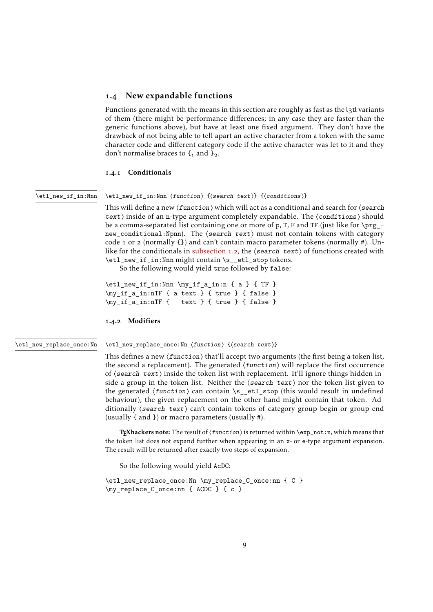## <span id="page-8-5"></span><span id="page-8-0"></span>1.4 New expandable functions

Functions generated with the means in this section are roughly as fast as the l3tl variants of them (there might be performance differences; in any case they are faster than the generic functions above), but have at least one fixed argument. They don't have the drawback of not being able to tell apart an active character from a token with the same character code and different category code if the active character was let to it and they don't normalise braces to  $\mathcal{F}_1$  and  $\mathcal{F}_2$ .

#### <span id="page-8-1"></span>1.4.1 Conditionals

#### <span id="page-8-3"></span>\etl\_new\_if\_in:Nnn

# \etl\_new\_if\_in:Nnn ⟨function⟩ {⟨search text⟩} {⟨conditions⟩}

This will define a new  $\langle$  function $\rangle$  which will act as a conditional and search for  $\langle$  search text⟩ inside of an n-type argument completely expandable. The ⟨conditions⟩ should be a comma-separated list containing one or more of  $p$ , T, F and TF (just like for \prg\_new\_conditional:Npnn). The ⟨search text⟩ must not contain tokens with category code 1 or 2 (normally  $\{\}$ ) and can't contain macro parameter tokens (normally #). Unlike for the conditionals in [subsection](#page-5-0) 1.2, the  $\langle$  search text $\rangle$  of functions created with \etl\_new\_if\_in:Nnn might contain \s\_\_etl\_stop tokens.

So the following would yield true followed by false:

\etl\_new\_if\_in:Nnn \my\_if\_a\_in:n { a } { TF } \my\_if\_a\_in:nTF { a text } { true } { false } \my\_if\_a\_in:nTF { text } { true } { false }

#### <span id="page-8-2"></span>1.4.2 Modifiers

#### <span id="page-8-4"></span>\etl\_new\_replace\_once:Nn

\etl\_new\_replace\_once:Nn ⟨function⟩ {⟨search text⟩}

This defines a new  $\langle$  function $\rangle$  that'll accept two arguments (the first being a token list, the second a replacement). The generated  $\langle function \rangle$  will replace the first occurrence of ⟨search text⟩ inside the token list with replacement. It'll ignore things hidden inside a group in the token list. Neither the  $\langle$  search text $\rangle$  nor the token list given to the generated ⟨function⟩ can contain \s\_\_etl\_stop (this would result in undefined behaviour), the given replacement on the other hand might contain that token. Additionally ⟨search text⟩ can't contain tokens of category group begin or group end (usually { and }) or macro parameters (usually #).

TEXhackers note: The result of  $\langle function \rangle$  is returned within  $\exp_{not:n}$  which means that the token list does not expand further when appearing in an x- or e-type argument expansion. The result will be returned after exactly two steps of expansion.

So the following would yield AcDC:

```
\etl_new_replace_once:Nn \my_replace_C_once:nn { C }
\my_replace_C_once:nn { ACDC } { c }
```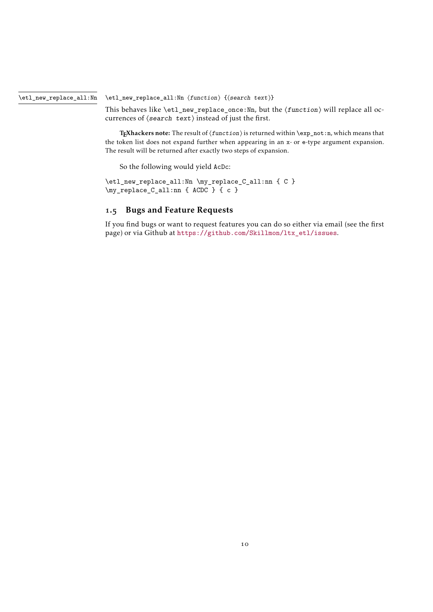<span id="page-9-1"></span>\etl\_new\_replace\_all:Nn ⟨function⟩ {⟨search text⟩} \etl\_new\_replace\_all:Nn

> <span id="page-9-2"></span>This behaves like  $\et{1_new_replace-once:Nn, but the *function* will replace all oc$ currences of ⟨search text⟩ instead of just the first.

> TEXhackers note: The result of  $\langle$  function $\rangle$  is returned within  $\exp_{not: n}$ , which means that the token list does not expand further when appearing in an x- or e-type argument expansion. The result will be returned after exactly two steps of expansion.

So the following would yield AcDc:

\etl\_new\_replace\_all:Nn \my\_replace\_C\_all:nn { C } \my\_replace\_C\_all:nn { ACDC } { c }

# <span id="page-9-0"></span>1.5 Bugs and Feature Requests

If you find bugs or want to request features you can do so either via email (see the first page) or via Github at [https://github.com/Skillmon/ltx\\_etl/issues](https://github.com/Skillmon/ltx_etl/issues).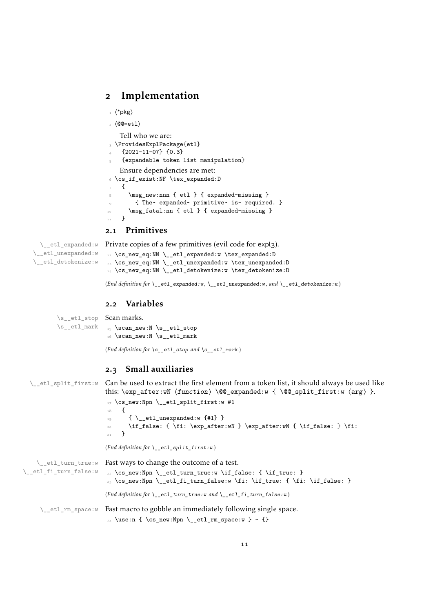# <span id="page-10-0"></span>2 Implementation

```
_1 \langle*pkg\rangle
```

```
2 ⟨@@=etl⟩
```
Tell who we are:

```
3 \ProvidesExplPackage{etl}
```

```
{2021 - 11 - 07} {0.3}
```

```
5 {expandable token list manipulation}
   Ensure dependencies are met:
6 \cs_if_exist:NF \tex_expanded:D
```

```
\mathfrak{g}\msg_new:nnn { etl } { expanded-missing }
        9 { The~ expanded~ primitive~ is~ required. }
10 \msg_fatal:nn { etl } { expanded-missing }
11 }
```
## <span id="page-10-18"></span><span id="page-10-12"></span><span id="page-10-9"></span><span id="page-10-1"></span>2.1 Primitives

\\_\_etl\_expanded:w Private copies of a few primitives (evil code for expl3).

```
\__etl_unexpanded:w
\__etl_detokenize:w
                     12 \cs_new_eq:NN \__etl_expanded:w \tex_expanded:D
                     13 \cs_new_eq:NN \__etl_unexpanded:w \tex_unexpanded:D
                     14 \cs_new_eq:NN \__etl_detokenize:w \tex_detokenize:D
```
<span id="page-10-11"></span><span id="page-10-10"></span>(*End definition for* \\_\_etl\_expanded:w *,* \\_\_etl\_unexpanded:w *, and* \\_\_etl\_detokenize:w*.*)

# <span id="page-10-2"></span>2.2 Variables

\s\_\_etl\_stop Scan marks. \s\_\_etl\_mark

<span id="page-10-23"></span><span id="page-10-22"></span><span id="page-10-21"></span><span id="page-10-17"></span><span id="page-10-16"></span><span id="page-10-15"></span><span id="page-10-5"></span><span id="page-10-3"></span>15 \scan\_new:N \s\_\_etl\_stop 16 \scan\_new:N \s\_\_etl\_mark (*End definition for* \s\_\_etl\_stop *and* \s\_\_etl\_mark*.*)

```
2.3 Small auxiliaries
  \setminus_etl_split_first:w Can be used to extract the first element from a token list, it should always be used like
                          this: \exp_after:wN \{function\} \
@_expanded:w { \@@_split_first:w \langle arg \rangle }.
                           17 \cs_new:Npn \__etl_split_first:w #1
                           18 {
                           19 \{ \setminus \_\text{etl\_unexpanded:w }\{\#1\} \}\text{20} \if_false: { \fi: \exp_after:wN } \exp_after:wN { \if_false: } \fi:
                                \lambda(End definition for \__etl_split_first:w.)
    \__etl_turn_true:w
Fast ways to change the outcome of a test.
\__etl_fi_turn_false:w
                          \frac{2}{2} \csc new:Npn \__etl_turn_true:w \if_false: { \if_true: }
                           _{23} \cs_new:Npn \__etl_fi_turn_false:w \fi: \if_true: { \fi: \if_false: }
                          (End definition for \__etl_turn_true:w and \__etl_fi_turn_false:w.)
     \angle etl_rm_space:w Fast macro to gobble an immediately following single space.
                           24 \use:n { \cs_new:Npn \__etl_rm_space:w } ~ {}
```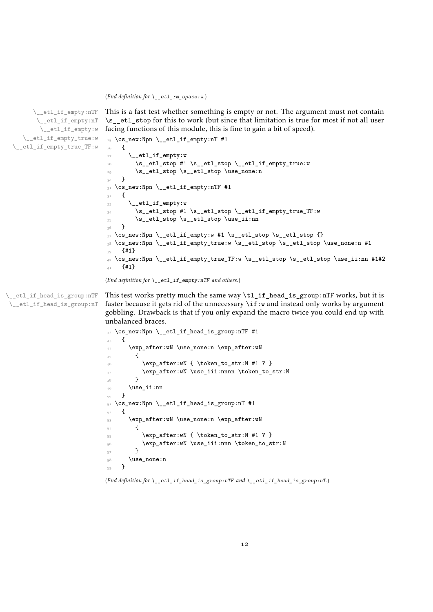<span id="page-11-15"></span>(*End definition for* \\_\_etl\_rm\_space:w*.*)

```
\__etl_if_empty:nTF
       \__etl_if_empty:nT
       \__etl_if_empty:w
  \__etl_if_empty_true:w
\__etl_if_empty_true_TF:w
```

```
facing functions of this module, this is fine to gain a bit of speed).
25 \ \text{Cs_new: Npn} \ \text{etl_if-empty:} \#1
26 {
\angle<sub>__etl_if_empty:w</sub>
28 \s__etl_stop #1 \s__etl_stop \__etl_if_empty_true:w
29 \s__etl_stop \s__etl_stop \use_none:n
30 }
31 \cs_new:Npn \__etl_if_empty:nTF #1
32 \frac{1}{2}33 \__etl_if_empty:w
34 \s__etl_stop #1 \s__etl_stop \__etl_if_empty_true_TF:w
35 \s__etl_stop \s__etl_stop \use_ii:nn
36 }
_37 \text{ \&\_new: Npn \ } \_etl_if_{empty:w #1 \ }s_i_tl_stop \ s_i_tl_stop \ }38 \cs_new:Npn \__etl_if_empty_true:w \s__etl_stop \s__etl_stop \use_none:n #1
39 {41}40 \cs_new:Npn \__etl_if_empty_true_TF:w \s__etl_stop \s__etl_stop \use_ii:nn #1#2
41 \{ \#1 \}
```
<span id="page-11-7"></span>This is a fast test whether something is empty or not. The argument must not contain \s\_\_etl\_stop for this to work (but since that limitation is true for most if not all user

```
(End definition for \__etl_if_empty:nTF and others.)
```
\\_\_etl\_if\_head\_is\_group:nTF \\_\_etl\_if\_head\_is\_group:nT <span id="page-11-8"></span>This test works pretty much the same way  $\t{1}$  if head is group:nTF works, but it is faster because it gets rid of the unnecessary  $\iota$  if:w and instead only works by argument gobbling. Drawback is that if you only expand the macro twice you could end up with unbalanced braces.

```
_{42} \cs_new:Npn \__etl_if_head_is_group:nTF #1
43 \epsilon44 \exp_after:wN \use_none:n \exp_after:wN
45 {
^{46} \exp_after:wN { \token_to_str:N #1 ? }
\frac{47}{47} \exp_after:wN \use_iii:nnnn \token_to_str:N
48 }
49 \use_ii:nn
50 }
_{51} \cs_new:Npn \__etl_if_head_is_group:nT #1
52 \frac{1}{2}_{53} \exp_after:wN \use_none:n \exp_after:wN
\overline{\mathbf{5}}4 \overline{\mathbf{5}}55 \exp_after:wN { \token_to_str:N #1 ? }
56 \exp_after:wN \use_iii:nnn \token_to_str:N
57 }
58 \use_none:n
59 - 7
```
<span id="page-11-21"></span><span id="page-11-14"></span><span id="page-11-13"></span><span id="page-11-12"></span>(*End definition for* \\_\_etl\_if\_head\_is\_group:nTF *and* \\_\_etl\_if\_head\_is\_group:nT*.*)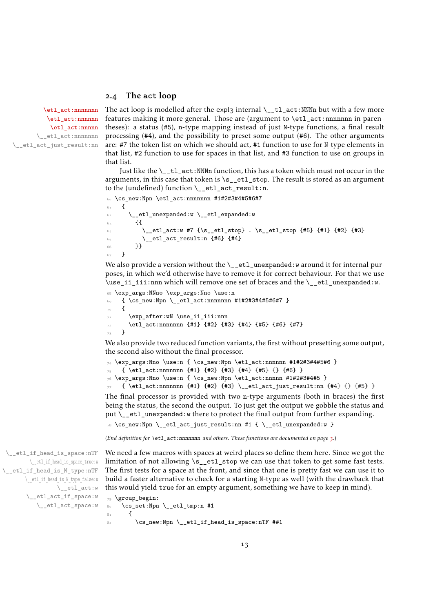## <span id="page-12-9"></span><span id="page-12-0"></span>2.4 The **act** loop

[\etl\\_act:nnnnnnn](#page-2-1) [\etl\\_act:nnnnnn](#page-2-1) [\etl\\_act:nnnnn](#page-2-1) \\_\_etl\_act:nnnnnnn \\_\_etl\_act\_just\_result:nn

<span id="page-12-8"></span>The act loop is modelled after the expl3 internal  $\_{t}t_1$  act:NNNn but with a few more features making it more general. Those are (argument to \etl\_act:nnnnnnn in parentheses): a status (#5), n-type mapping instead of just N-type functions, a final result processing (#4), and the possibility to preset some output (#6). The other arguments are: #7 the token list on which we should act, #1 function to use for N-type elements in that list, #2 function to use for spaces in that list, and #3 function to use on groups in that list.

Just like the  $\setminus$  tl act:NNNn function, this has a token which must not occur in the arguments, in this case that token is  $\succeq$  etl\_stop. The result is stored as an argument to the (undefined) function  $\setminus$  etl act result:n.

```
60 \cs_new:Npn \etl_act:nnnnnnn #1#2#3#4#5#6#7
```

```
61 \frac{1}{10}\delta<sub>2</sub> \__etl_unexpanded:w \__etl_expanded:w
63 \{64 \times \that:w #7 {\s_etl_stop} . \s_etl_stop {#5} {#1} {#2} {#3}
65 \__etl_act_result:n {#6} {#4}
66 }}
67 }
```
<span id="page-12-12"></span>We also provide a version without the  $\_{et}$  to  $t_1$  unexpanded: w around it for internal purposes, in which we'd otherwise have to remove it for correct behaviour. For that we use \use\_ii\_iii:nnn which will remove one set of braces and the \\_\_etl\_unexpanded:w.

```
68 \exp_args:NNno \exp_args:Nno \use:n
69 { \cs_new:Npn \__etl_act:nnnnnnn #1#2#3#4#5#6#7 }
    \overline{f}71 \exp_after:wN \use_ii_iii:nnn
72 \etl_act:nnnnnnn {#1} {#2} {#3} {#4} {#5} {#6} {#7}
73 }
```
We also provide two reduced function variants, the first without presetting some output, the second also without the final processor.

```
74 \text{ } \exp_args: Nno \use:n {\text{ } \csimeq \etl}_act: nnnnnn #1#2#3#4#5#6 }75 { \etl_act:nnnnnnn {#1} {#2} {#3} {#4} {#5} {} {#6} }
76 \exp_args:Nno \use:n { \cs_new:Npn \etl_act:nnnnn #1#2#3#4#5 }
    {\tilde{7}} { \etl_act:nnnnnnn {#1} {#2} {#3} \__etl_act_just_result:nn {#4} {} {#5} }
```
The final processor is provided with two n-type arguments (both in braces) the first being the status, the second the output. To just get the output we gobble the status and put \\_\_etl\_unexpanded:w there to protect the final output from further expanding.

<span id="page-12-5"></span> $78 \text{ } \csc \text{ }$ new:Npn \\_\_etl\_act\_just\_result:nn #1 { \\_\_etl\_unexpanded:w }

<span id="page-12-11"></span>(*End definition for* \etl\_act:nnnnnnn *and others. These functions are documented on page [3](#page-2-1).*)

```
\__etl_if_head_is_space:nTF
        \ etl if head is space true:w
\__etl_if_head_is_N_type:nTF
      \__etl_if_head_is_N_type_false:w
                \setminus _{-}etl_act:w
       \__etl_act_if_space:w
          \__etl_act_space:w
                                We need a few macros with spaces at weird places so define them here. Since we got the
                                limitation of not allowing \s__etl_stop we can use that token to get some fast tests.
                                The first tests for a space at the front, and since that one is pretty fast we can use it to
                                build a faster alternative to check for a starting N-type as well (with the drawback that
                                this would yield true for an empty argument, something we have to keep in mind).
                                 79 \group begin:
                                80 \cs set:Npn \ etl tmp:n #1
                                81 {
```

```
82 \qquad \csc new: Npn \ \text{etl} if head is space: nTF ##1
```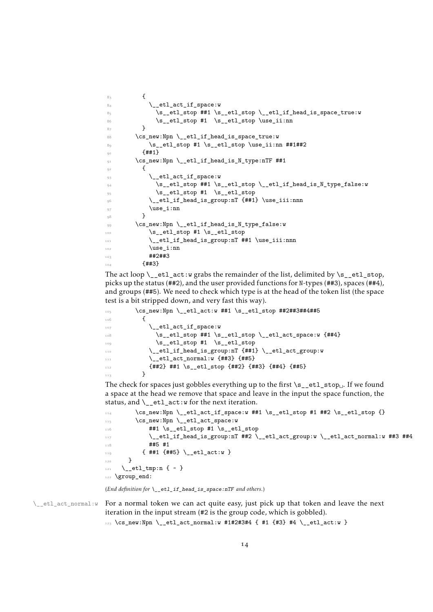```
8<sub>3</sub> {
84 \qquad \qquad \setminus \_ {\tt-etl\_act\_if\_space:w}85 \s_etl_stop ##1 \s_etl_stop \_etl_if_head_is_space_true:w
86 \s__etl_stop #1 \s__etl_stop \use_ii:nn
87 }
88 \cs_new:Npn \__etl_if_head_is_space_true:w
89 \s__etl_stop #1 \s__etl_stop \use_ii:nn ##1##2
90 \t {+11}91 \cs_new:Npn \__etl_if_head_is_N_type:nTF ##1
92 \left\{ \begin{array}{c} 92 \end{array} \right.93 \qquad \qquad \setminus \_ {\tt{-}etl\_act\_if\_space:w}\mathcal{S}_{94} \s__etl_stop ##1 \s__etl_stop \__etl_if_head_is_N_type_false:w
\mathsf{S}_2 \mathsf{S}_2 etl_stop #1 \mathsf{S}_2 etl_stop
96 \__etl_if_head_is_group:nT {##1} \use_iii:nnn
97 \text{use}_i: \text{nn}<sub>98</sub> }
99 \cs_new:Npn \__etl_if_head_is_N_type_false:w
100 \s__etl_stop #1 \s__etl_stop
101 \__etl_if_head_is_group:nT ##1 \use_iii:nnn
\text{use}_i: \text{nn}103 ##2##3
104 {4+43}
```
<span id="page-13-27"></span><span id="page-13-26"></span><span id="page-13-21"></span><span id="page-13-20"></span><span id="page-13-13"></span><span id="page-13-12"></span><span id="page-13-2"></span>The act loop  $\_{etlact:w$  grabs the remainder of the list, delimited by  $\s_{\_et}$ tl\_stop, picks up the status (##2), and the user provided functions for N-types (##3), spaces (##4), and groups (##5). We need to check which type is at the head of the token list (the space test is a bit stripped down, and very fast this way).

```
\cos \cs_new:Npn \__etl_act:w ##1 \s__etl_stop ##2##3##4##5
106 \{\setminus_etl_act_if_space:w
\text{108} \s__etl_stop ##1 \s__etl_stop \__etl_act_space:w {##4}
109 \s__etl_stop #1 \s__etl_stop
110 \__etl_if_head_is_group:nT {##1} \__etl_act_group:w
\setminus__etl_act_normal:w {##3} {##5}
112 {#42} ##1 \s_etl_stop {#42} {#43} {#44} {#45}<sup>113</sup> }
```
<span id="page-13-24"></span><span id="page-13-10"></span><span id="page-13-8"></span>The check for spaces just gobbles everything up to the first \s\_etl\_stop<sub>U</sub>. If we found a space at the head we remove that space and leave in the input the space function, the status, and  $\left\langle \right.$  etl  $act:w$  for the next iteration.

```
\text{114} \cs_new:Npn \__etl_act_if_space:w ##1 \s__etl_stop #1 ##2 \s__etl_stop {}
\log_{115} \cs_new:Npn \__etl_act_space:w
116 ##1 \s_etl_stop #1 \s_etl_stop
117 \ etl_if_head_is_group:nT ##2 \ etl_act_group:w \ etl_act_normal:w ##3 ##4
118 ##5 #1
119 { ##1 {##5} \__etl_act:w }
120 }
_{121} \_etl_tmp:n { ~ }
122 \group_end:
```
<span id="page-13-15"></span><span id="page-13-14"></span><span id="page-13-11"></span>(*End definition for* \\_\_etl\_if\_head\_is\_space:nTF *and others.*)

 $\setminus_{-\infty}$ etl\_act\_normal:w For a normal token we can act quite easy, just pick up that token and leave the next iteration in the input stream (#2 is the group code, which is gobbled).

<span id="page-13-6"></span>123 \cs\_new:Npn \\_etl\_act\_normal:w #1#2#3#4 { #1 {#3} #4 \\_etl\_act:w }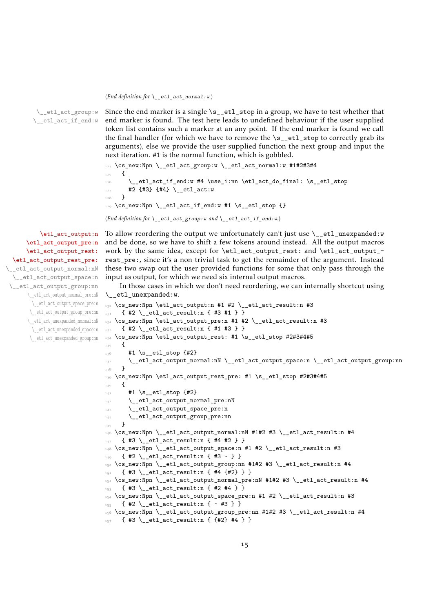#### <span id="page-14-14"></span>(*End definition for* \\_\_etl\_act\_normal:w*.*)

\\_\_etl\_act\_group:w \\_\_etl\_act\_if\_end:w

<span id="page-14-16"></span>Since the end marker is a single  $\succeq$  etl\_stop in a group, we have to test whether that end marker is found. The test here leads to undefined behaviour if the user supplied token list contains such a marker at an any point. If the end marker is found we call the final handler (for which we have to remove the  $\succeq$ -etl\_stop to correctly grab its arguments), else we provide the user supplied function the next group and input the next iteration. #1 is the normal function, which is gobbled.

```
124 \cs_new:Npn \_etl_act_group:w \_etl_act_normal:w #1#2#3#4
125 {
\verb|126| \verb|126| \verb|126| \verb|126| \verb|126| \verb|126| \verb|126| \verb|126| \verb|126| \verb|126| \verb|126| \verb|126| \verb|126| \verb|126| \verb|126| \verb|126| \verb|126| \verb|126| \verb|126| \verb|126| \verb|126| \verb|126| \verb|126| \verb|126| \verb|126| \verb|126| \verb|126| \verb|126| \verb|126| \verb|126| \verb|126| \verb|127 #2 {#3} {#4} \__etl_act:w
128 }
_{129} \cs_new:Npn \__etl_act_if_end:w #1 \s__etl_stop {}
(End definition for \__etl_act_group:w and \__etl_act_if_end:w.)
```
[\etl\\_act\\_output:n](#page-2-2) [\etl\\_act\\_output\\_pre:n](#page-2-2) [\etl\\_act\\_output\\_rest:](#page-2-3) [\etl\\_act\\_output\\_rest\\_pre:](#page-2-3) \\_\_etl\_act\_output\_normal:nN \\_\_etl\_act\_output\_space:n \\_\_etl\_act\_output\_group:nn \\_\_etl\_act\_output\_normal\_pre:nN \\_\_etl\_act\_output\_space\_pre:n \\_\_etl\_act\_output\_group\_pre:nn \\_\_etl\_act\_unexpanded\_normal:nN \\_\_etl\_act\_unexpanded\_space:n \\_\_etl\_act\_unexpanded\_group:nn <span id="page-14-13"></span><span id="page-14-1"></span>To allow reordering the output we unfortunately can't just use  $\setminus$  etl\_unexpanded:w and be done, so we have to shift a few tokens around instead. All the output macros work by the same idea, except for \etl\_act\_output\_rest: and \etl\_act\_output\_ rest\_pre:, since it's a non-trivial task to get the remainder of the argument. Instead these two swap out the user provided functions for some that only pass through the input as output, for which we need six internal output macros.

In those cases in which we don't need reordering, we can internally shortcut using \\_\_etl\_unexpanded:w.

```
130 \text{ Cs_new: Npn } tet1act_output:n #1 #2 \_et1act_result:n #3_{131} { #2 \__etl_act_result:n { #3 #1 } }
132 \cs_new:Npn \etl_act_output_pre:n #1 #2 \__etl_act_result:n #3
133 { #2 \__etl_act_result:n { #1 #3 } }
134 \text{ Cs_new: Npn \etl}_act\_output\_rest: #1 \s_etl\_stop #2#3#4#5135 {
136 #1 \s__etl_stop {#2}
137 \__etl_act_output_normal:nN \__etl_act_output_space:n \__etl_act_output_group:nn
138 }
139 \cs_new:Npn \etl_act_output_rest_pre: #1 \s__etl_stop #2#3#4#5
140 \frac{1}{140}141 \{1\} \{1\} \{1\}\verb|142| = \verb|1_1dt_1+ \verb|1_1dt_2+ \verb|1_1dt_2+ \verb|1_1dt_3+ \verb|1_1dt_4|\lambda_{-}etl_act_output_space_pre:n
144 \__etl_act_output_group_pre:nn
145_{146} \cs_new:Npn \__etl_act_output_normal:nN #1#2 #3 \__etl_act_result:n #4
147 { #3 \__etl_act_result:n { #4 #2 } }
148 \cs_new:Npn \__etl_act_output_space:n #1 #2 \__etl_act_result:n #3
_{149} { #2 \__etl_act_result:n { #3 ~ } }
_{\texttt{150}} \cs_new:Npn \__etl_act_output_group:nn #1#2 #3 \__etl_act_result:n #4
    \{ #3 \__etl_act_result:n { #4 {42} } }
152 \cs_new:Npn \__etl_act_output_normal_pre:nN #1#2 #3 \__etl_act_result:n #4
153 { #3 \__etl_act_result:n { #2 #4 } }
154 \cs_new:Npn \__etl_act_output_space_pre:n #1 #2 \__etl_act_result:n #3
155 { #2 \__etl_act_result:n { ~ #3 } }
156 \text{ Cs_new: Npn } \_et1_act_output\_group\_pre:nn  #1#2  #3 \_et1_act_result:n  #4157 { #3 \_etl_act_result:n { {#2} #4 } }
```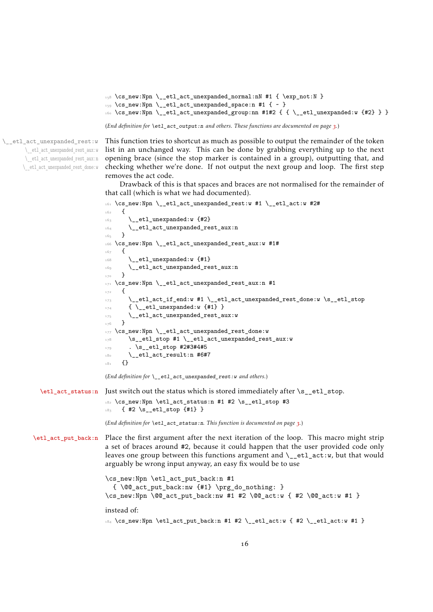```
_{158} \cs_new:Npn \__etl_act_unexpanded_normal:nN #1 { \exp_not:N }
```

```
_{159} \cs_new:Npn \__etl_act_unexpanded_space:n #1 { ~ }
```
<span id="page-15-2"></span>160 \cs\_new:Npn \\_\_etl\_act\_unexpanded\_group:nn #1#2 { { \\_\_etl\_unexpanded:w {#2} } }

(*End definition for* \etl\_act\_output:n *and others. These functions are documented on page [3](#page-2-2).*)

\\_\_etl\_act\_unexpanded\_rest:w \\_\_etl\_act\_unexpanded\_rest\_aux:w \\_\_etl\_act\_unexpanded\_rest\_aux:n \\_\_etl\_act\_unexpanded\_rest\_done:w <span id="page-15-14"></span>This function tries to shortcut as much as possible to output the remainder of the token list in an unchanged way. This can be done by grabbing everything up to the next opening brace (since the stop marker is contained in a group), outputting that, and checking whether we're done. If not output the next group and loop. The first step removes the act code.

Drawback of this is that spaces and braces are not normalised for the remainder of that call (which is what we had documented).

```
161 \cs_new:Npn \__etl_act_unexpanded_rest:w #1 \__etl_act:w #2#
162 \frac{1}{2}\lambda_{-}etl_unexpanded:w {#2}
164 \__etl_act_unexpanded_rest_aux:n
165 }
166 \cs_new:Npn \__etl_act_unexpanded_rest_aux:w #1#
167 \frac{1}{2}\frac{168}{168} \_etl_unexpanded:w {#1}
169 \__etl_act_unexpanded_rest_aux:n
170 }
171 \text{ Cs_new: Npn } \_\text{etlact\_unexpanded\_rest\_aux:n #1}172 {
173 \__etl_act_if_end:w #1 \__etl_act_unexpanded_rest_done:w \s__etl_stop
174 { \_etl_unexpanded:w {#1} }
175 \__etl_act_unexpanded_rest_aux:w
176 }
177 \cs_new:Npn \__etl_act_unexpanded_rest_done:w
178 \s__etl_stop #1 \__etl_act_unexpanded_rest_aux:w
179 . \s etl stop #2#3#4#5
\lambda_{180} \__etl_act_result:n #6#7
181 {}
(End definition for \__etl_act_unexpanded_rest:w and others.)
```
[\etl\\_act\\_status:n](#page-2-4) Just switch out the status which is stored immediately after \s\_\_etl\_stop.

```
182 \cs_new:Npn \etl_act_status:n #1 #2 \s__etl_stop #3
183 { #2 \s__etl_stop {#1} }
```
<span id="page-15-9"></span>(*End definition for* \etl\_act\_status:n*. This function is documented on page [3](#page-2-4).*)

[\etl\\_act\\_put\\_back:n](#page-3-1) Place the first argument after the next iteration of the loop. This macro might strip a set of braces around #2, because it could happen that the user provided code only leaves one group between this functions argument and  $\_{et}$  act:w, but that would arguably be wrong input anyway, an easy fix would be to use

```
\cs_new:Npn \etl_act_put_back:n #1
  \{ \@Q_{act.put}\back:nw \#1\} \prg_do_nothing: \}\cos_new: Npn \@act.put-back:nw #1 #2 \@act:w { #2 \@act:w #1 }instead of:
184 \text{ } \csc 1new:Npn \etl_act_put_back:n #1 #2 \__etl_act:w { #2 \__etl_act:w #1 }
```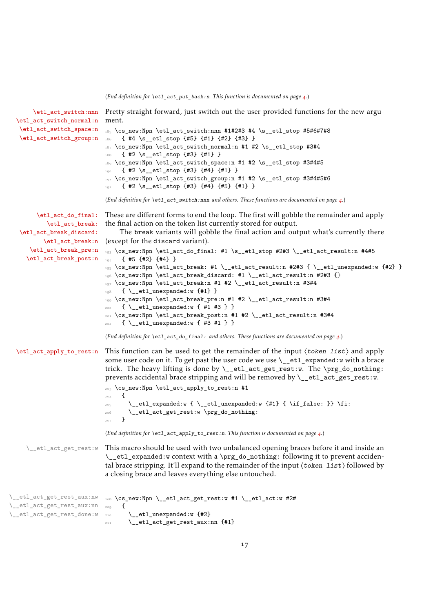<span id="page-16-27"></span><span id="page-16-26"></span><span id="page-16-25"></span><span id="page-16-24"></span><span id="page-16-22"></span><span id="page-16-21"></span><span id="page-16-20"></span><span id="page-16-18"></span><span id="page-16-15"></span><span id="page-16-14"></span><span id="page-16-13"></span><span id="page-16-12"></span><span id="page-16-9"></span><span id="page-16-8"></span><span id="page-16-7"></span><span id="page-16-6"></span><span id="page-16-5"></span><span id="page-16-4"></span><span id="page-16-3"></span><span id="page-16-2"></span><span id="page-16-1"></span><span id="page-16-0"></span>(*End definition for* \etl\_act\_put\_back:n*. This function is documented on page [4](#page-3-1).*)

<span id="page-16-23"></span><span id="page-16-19"></span><span id="page-16-17"></span><span id="page-16-16"></span><span id="page-16-11"></span><span id="page-16-10"></span>

| \etl_act_switch_normal:n                                                               | \etl_act_switch:nnn Pretty straight forward, just switch out the user provided functions for the new argu-<br>ment.                                                                                                                                                                                                                                                                                                                                                                                                                                                                                                                                                                                                  |
|----------------------------------------------------------------------------------------|----------------------------------------------------------------------------------------------------------------------------------------------------------------------------------------------------------------------------------------------------------------------------------------------------------------------------------------------------------------------------------------------------------------------------------------------------------------------------------------------------------------------------------------------------------------------------------------------------------------------------------------------------------------------------------------------------------------------|
| \etl_act_switch_space:n<br>\etl_act_switch_group:n                                     | 185 \cs_new:Npn \etl_act_switch:nnn #1#2#3 #4 \s__etl_stop #5#6#7#8<br>{ #4 \s__etl_stop {#5} {#1} {#2} {#3} }<br>186<br>187 \cs_new:Npn \etl_act_switch_normal:n #1 #2 \s__etl_stop #3#4<br>$\{ #2 \s_elt1, stop \{#3\} \{#1\} \}$<br>188<br>\cs_new:Npn \etl_act_switch_space:n #1 #2 \s__etl_stop #3#4#5<br>189<br>{ #2 \s__etl_stop {#3} {#4} {#1} }<br>190<br>191 \cs_new:Npn \etl_act_switch_group:n #1 #2 \s__etl_stop #3#4#5#6<br>{ #2 \s__etl_stop {#3} {#4} {#5} {#1} }<br>192<br>(End definition for \et1_act_switch:nnn and others. These functions are documented on page 4.)                                                                                                                           |
|                                                                                        |                                                                                                                                                                                                                                                                                                                                                                                                                                                                                                                                                                                                                                                                                                                      |
| \etl_act_do_final:<br>\etl_act_break:<br>\etl_act_break_discard:<br>\etl_act_break:n   | These are different forms to end the loop. The first will gobble the remainder and apply<br>the final action on the token list currently stored for output.<br>The break variants will gobble the final action and output what's currently there<br>(except for the discard variant).                                                                                                                                                                                                                                                                                                                                                                                                                                |
| \etl_act_break_pre:n<br>\etl_act_break_post:n                                          | 193 \cs_new:Npn \etl_act_do_final: #1 \s__etl_stop #2#3 \__etl_act_result:n #4#5<br>${45$ ${42}$ ${44}$<br>194<br>\cs_new:Npn \etl_act_break: #1 \__etl_act_result:n #2#3 { \__etl_unexpanded:w {#2} }<br>195<br>196 \cs_new:Npn \etl_act_break_discard: #1 \__etl_act_result:n #2#3 {}<br>$_{197}$ \cs_new:Npn \etl_act_break:n #1 #2 \__etl_act_result:n #3#4<br>$\{ \setminus _{\texttt{etl\_unexpanded}:w \{ \# 1\}} \}$<br>198<br>\cs_new:Npn \etl_act_break_pre:n #1 #2 \__etl_act_result:n #3#4<br>199<br>$\{ \ \_{\_}ett \_$ unexpanded:w $\{  #1  #3  } \}$<br>200<br>\cs_new:Npn \etl_act_break_post:n #1 #2 \__etl_act_result:n #3#4<br>201<br>$\{ \ \ \}_{\_}$ etl_unexpanded:w $\{  #3 #1 \} \}$<br>202 |
|                                                                                        | (End definition for $\text{let}_\text{act_do\_final}$ : and others. These functions are documented on page 4.)                                                                                                                                                                                                                                                                                                                                                                                                                                                                                                                                                                                                       |
| \etl_act_apply_to_rest:n                                                               | This function can be used to get the remainder of the input $\langle \text{token list} \rangle$ and apply<br>some user code on it. To get past the user code we use $\setminus$ et l expanded: w with a brace<br>trick. The heavy lifting is done by \__etl_act_get_rest:w. The \prg_do_nothing:<br>prevents accidental brace stripping and will be removed by $\_{\text{etl}_\text{act}_\text{get}_\text{rest}:w.}$                                                                                                                                                                                                                                                                                                 |
|                                                                                        | 203 \cs_new:Npn \etl_act_apply_to_rest:n #1<br>€                                                                                                                                                                                                                                                                                                                                                                                                                                                                                                                                                                                                                                                                     |
|                                                                                        | 204<br>\__etl_expanded:w {\__etl_unexpanded:w {#1} { \if_false: }} \fi:<br>205<br>\__etl_act_get_rest:w \prg_do_nothing:<br>206<br>}<br>207                                                                                                                                                                                                                                                                                                                                                                                                                                                                                                                                                                          |
|                                                                                        | (End definition for \etl_act_apply_to_rest:n. This function is documented on page 4.)                                                                                                                                                                                                                                                                                                                                                                                                                                                                                                                                                                                                                                |
| \__etl_act_get_rest:w                                                                  | This macro should be used with two unbalanced opening braces before it and inside an<br>\_etl_expanded:w context with a \prg_do_nothing: following it to prevent acciden-<br>tal brace stripping. It'll expand to the remainder of the input (token list) followed by<br>a closing brace and leaves everything else untouched.                                                                                                                                                                                                                                                                                                                                                                                       |
| \__etl_act_get_rest_aux:nw<br>\__etl_act_get_rest_aux:nn<br>\__etl_act_get_rest_done:w | 208 \cs_new:Npn \__etl_act_get_rest:w #1 \__etl_act:w #2#<br>€<br>209<br>\__etl_unexpanded:w {#2}<br>210<br>\__etl_act_get_rest_aux:nn {#1}<br>211                                                                                                                                                                                                                                                                                                                                                                                                                                                                                                                                                                   |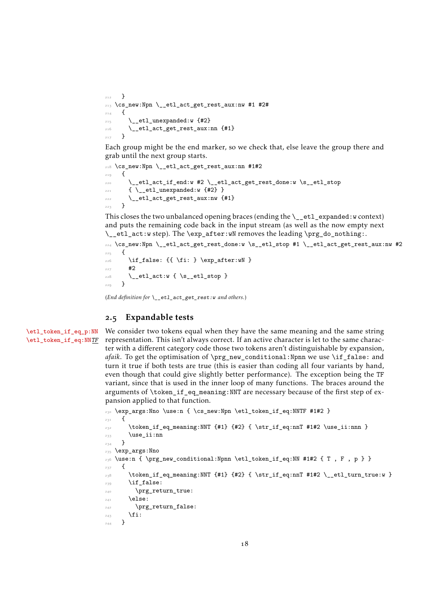```
212 }
213 \cs_new:Npn \__etl_act_get_rest_aux:nw #1 #2#
\overline{\phantom{a}}<sub>214</sub> \overline{\phantom{a}}\sum_{215} \_etl_unexpanded:w {#2}
\sum_{216} \__etl_act_get_rest_aux:nn {#1}
217 }
```
Each group might be the end marker, so we check that, else leave the group there and grab until the next group starts.

```
218 \cs_new:Npn \__etl_act_get_rest_aux:nn #1#2
219 {
220 \__etl_act_if_end:w #2 \__etl_act_get_rest_done:w \s__etl_stop
\frac{221}{221} { \_etl_unexpanded:w {#2} }
222 \__etl_act_get_rest_aux:nw {#1}
223 }
```
This closes the two unbalanced opening braces (ending the  $\_{et}$  etl\_expanded:w context) and puts the remaining code back in the input stream (as well as the now empty next \\_\_etl\_act:w step). The \exp\_after:wN removes the leading \prg\_do\_nothing:.

```
224 \cs_new:Npn \__etl_act_get_rest_done:w \s__etl_stop #1 \__etl_act_get_rest_aux:nw #2
225 {
226 \if_false: {{ \fi: } \exp_after:wN }
```

```
227 #2
\sum_{228} \__etl_act:w {\s__etl_stop }
229 - 7
```

```
(End definition for \__etl_act_get_rest:w and others.)
```
# <span id="page-17-0"></span>2.5 Expandable tests

[\etl\\_token\\_if\\_eq\\_p:NN](#page-5-1) [\etl\\_token\\_if\\_eq:NN](#page-5-1)TF <span id="page-17-6"></span>We consider two tokens equal when they have the same meaning and the same string representation. This isn't always correct. If an active character is let to the same character with a different category code those two tokens aren't distinguishable by expansion, *afaik*. To get the optimisation of \prg\_new\_conditional:Npnn we use \if\_false: and turn it true if both tests are true (this is easier than coding all four variants by hand, even though that could give slightly better performance). The exception being the TF variant, since that is used in the inner loop of many functions. The braces around the arguments of \token\_if\_eq\_meaning:NNT are necessary because of the first step of expansion applied to that function.

```
230 \exp_args:Nno \use:n { \cs_new:Npn \etl_token_if_eq:NNTF #1#2 }
231 \frac{1}{2}232 \token_if_eq_meaning:NNT {#1} {#2} { \str_if_eq:nnT #1#2 \use_ii:nnn }
233 \use_ii:nn
234 }
235 \exp args:Nno
_{236} \use:n { \prg_new_conditional:Npnn \etl_token_if_eq:NN #1#2 { T , F , p } }
237 {
238 \token_if_eq_meaning:NNT {#1} {#2} { \str_if_eq:nnT #1#2 \__etl_turn_true:w }
239 \if_false:
240 \prg_return_true:
_{241} \else:
242 \prg_return_false:
\begin{matrix} 243 \\ 344 \end{matrix} \fi:
244
```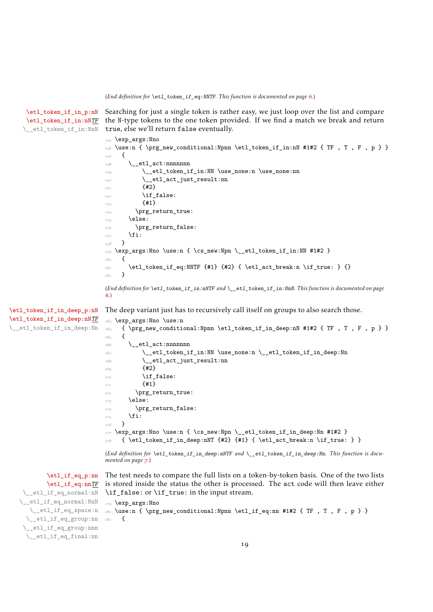<span id="page-18-29"></span><span id="page-18-28"></span><span id="page-18-27"></span><span id="page-18-26"></span><span id="page-18-24"></span><span id="page-18-23"></span><span id="page-18-22"></span><span id="page-18-21"></span><span id="page-18-20"></span><span id="page-18-18"></span><span id="page-18-16"></span><span id="page-18-15"></span><span id="page-18-14"></span><span id="page-18-13"></span><span id="page-18-12"></span><span id="page-18-11"></span><span id="page-18-10"></span><span id="page-18-9"></span><span id="page-18-8"></span><span id="page-18-7"></span><span id="page-18-4"></span><span id="page-18-3"></span><span id="page-18-2"></span><span id="page-18-0"></span>(*End definition for* \etl\_token\_if\_eq:NNTF*. This function is documented on page [6](#page-5-1).*)

```
\etl_token_if_in_p:nN
     \etl_token_if_in:nNTF
      \__etl_token_if_in:NnN
                            Searching for just a single token is rather easy, we just loop over the list and compare
                            the N-type tokens to the one token provided. If we find a match we break and return
                            true, else we'll return false eventually.
                            245 \exp args:Nno
                            _{246} \use:n { \prg_new_conditional:Npnn \etl_token_if_in:nN #1#2 { TF , T , F , p } }
                            247 {
                            248 \_etl_act:nnnnnnn
                            \angle<sub>249</sub> \__etl_token_if_in:NN \use_none:n \use_none:nn
                            250 \__etl_act_just_result:nn
                            251 {42}252 \if_false:
                             253 {#1}
                             254 \prg_return_true:
                             255 \else:
                            256 \prg_return_false:
                            257 \fi:
                            258 }
                            259 \exp_args:Nno \use:n { \cs_new:Npn \__etl_token_if_in:NN #1#2 }
                            260 - 5261 \etl_token_if_eq:NNTF {#1} {#2} { \etl_act_break:n \if_true: } {}
                             262 }
                            (End definition for \etl_token_if_in:nNTF and \__etl_token_if_in:NnN. This function is documented on page
                             6.)
\etl_token_if_in_deep_p:nN
\etl_token_if_in_deep:nNTF
\__etl_token_if_in_deep:Nn
                            The deep variant just has to recursively call itself on groups to also search those.
                            263 \exp_args:Nno \use:n
                            _{264} { \prg_new_conditional:Npnn \etl_token_if_in_deep:nN #1#2 { TF , T , F , p } }
                            265 {
                            266 \_etl_act:nnnnnnn
                            \verb|267| \__etl_token_if_in:NN \use_none:n \__etl_token_if_in_deep:Nn
                             268 \__etl_act_just_result:nn
                             269 \{112\}270 \if_false:
                             271 {41}272 \prg_return_true:
                            273 \else:
                            274 \prg_return_false:
                            275 \fi:
                            276 }
                            277 \exp_args:Nno \use:n { \cs_new:Npn \__etl_token_if_in_deep:Nn #1#2 }
                            \frac{278}{\text{1} \times \text{1} \times \text{1}} \{ \text{1} \times \text{1} \times \text{1} \}(End definition for \etl_token_if_in_deep:nNTF and \__etl_token_if_in_deep:Nn. This function is docu-
                            mented on page 7.)
           \etl_if_eq_p:nn
           \etl_if_eq:nnTF
    \__etl_if_eq_normal:nN
   \__etl_if_eq_normal:NnN
      \__etl_if_eq_space:n
     \__etl_if_eq_group:nn
    \__etl_if_eq_group:nnn
     \__etl_if_eq_final:nn
                            The test needs to compare the full lists on a token-by-token basis. One of the two lists
                            is stored inside the status the other is processed. The act code will then leave either
                            \if_false: or \if_true: in the input stream.
                            279 \exp_args:Nno
                            280 \use:n { \prg_new_conditional:Npnn \etl_if_eq:nn #1#2 { TF , T , F , p } }
                            281 {
```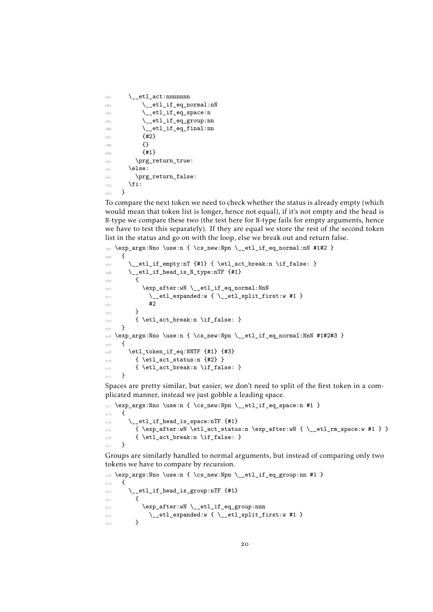```
282 \__etl_act:nnnnnnn
283 \qquad \qquad \setminus \_ {\tt-etl\_if\_eq\_normal:nN}284 \qquad \qquad etl_if_eq_space:n
285 \qquad \qquad \searrow etl_if_eq_group:nn
286 \qquad \qquad \setminus \underline{\phantom{0}} etl_if_eq_final:nn
287 \{42\}288 {}
289 {41}290 \prg_return_true:
291 \else:
292 \prg_return_false:
293 \fi:
294 }
```
<span id="page-19-22"></span><span id="page-19-21"></span><span id="page-19-20"></span><span id="page-19-4"></span>To compare the next token we need to check whether the status is already empty (which would mean that token list is longer, hence not equal), if it's not empty and the head is N-type we compare these two (the test here for N-type fails for empty arguments, hence we have to test this separately). If they are equal we store the rest of the second token list in the status and go on with the loop, else we break out and return false.

```
295 \exp_args:Nno \use:n { \cs_new:Npn \__etl_if_eq_normal:nN #1#2 }
<sub>296</sub> {
\frac{297}{297} \__etl_if_empty:nT {#1} { \etl_act_break:n \if_false: }
\texttt{298} \qquad \texttt{\textbackslash\_etl\_if\_head\_is\_N\_type:nTF} {#1}
299 {
300 \exp_after:wN \__etl_if_eq_normal:NnN
301 \__etl_expanded:w {\__etl_split_first:w #1 }
302 #2
303 }
_{304} { \etl_act_break:n \if_false: }
305 }
\textsubscript{306} \text{~exp\_args:} Nno \use:n { \cs_new:Npn \__etl_if_eq_normal:NnN #1#2#3 }
307 {
308 \etl_token_if_eq:NNTF {#1} {#3}
309 { \etl_act_status:n {#2} }
310 { \etl_act_break:n \if_false: }
311 }
```
<span id="page-19-11"></span><span id="page-19-9"></span><span id="page-19-7"></span><span id="page-19-6"></span><span id="page-19-1"></span>Spaces are pretty similar, but easier, we don't need to split of the first token in a complicated manner, instead we just gobble a leading space.

```
312 \exp_args:Nno \use:n { \cs_new:Npn \__etl_if_eq_space:n #1 }
313 {
\frac{314}{2} \_etl_if_head_is_space:nTF {#1}
315 { \exp_after:wN \etl_act_status:n \exp_after:wN { \__etl_rm_space:w #1 } }
_{3^{16}} \qquad \qquad { \etl_act_break:n \if_false: }
317 }
```
<span id="page-19-8"></span>Groups are similarly handled to normal arguments, but instead of comparing only two tokens we have to compare by recursion.

```
318 \exp_args:Nno \use:n { \cs_new:Npn \__etl_if_eq_group:nn #1 }
319 \bigcup320 \__etl_if_head_is_group:nTF {#1}
3^{21} {
322 \exp_after:wN \__etl_if_eq_group:nnn
\setminus_etl_expanded:w { \setminus_etl_split_first:w #1 }
324
```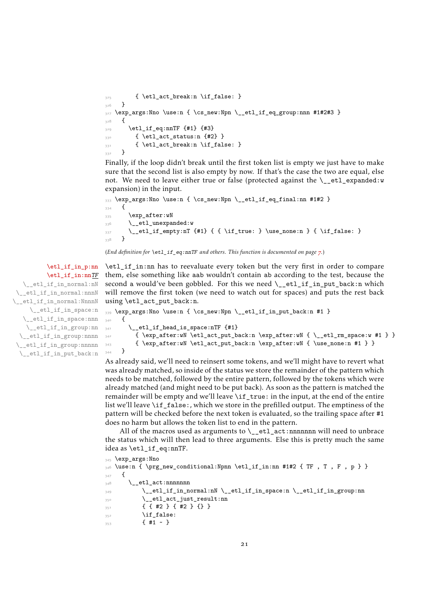```
_{325} { \etl_act_break:n \if_false: }
326 }
327 \exp_args:Nno \use:n { \cs_new:Npn \__etl_if_eq_group:nnn #1#2#3 }
328 {
_{329} \etl_if_eq:nnTF {#1} {#3}
_{330} { \etl_act_status:n {#2} }
_{331} { \etl_act_break:n \if_false: }
332 }
```
<span id="page-20-8"></span><span id="page-20-4"></span>Finally, if the loop didn't break until the first token list is empty we just have to make sure that the second list is also empty by now. If that's the case the two are equal, else not. We need to leave either true or false (protected against the \\_\_etl\_expanded:w expansion) in the input.

```
333 \exp_args:Nno \use:n { \cs_new:Npn \__etl_if_eq_final:nn #1#2 }
334 {
335 \exp_after:wN
336 \__etl_unexpanded:w
337 \__etl_if_empty:nT {#1} { { \if_true: } \use_none:n } { \if_false: }
338 }
```
<span id="page-20-12"></span>(*End definition for* \etl\_if\_eq:nnTF *and others. This function is documented on page [7](#page-6-2).*)

# [\etl\\_if\\_in\\_p:nn](#page-6-3)

[\etl\\_if\\_in:nn](#page-6-3)TF \\_\_etl\_if\_in\_normal:nN \_etl\_if\_in\_normal:nnnN \\_\_etl\_if\_in\_normal:NnnnN \\_\_etl\_if\_in\_space:n \\_\_etl\_if\_in\_space:nnn \\_\_etl\_if\_in\_group:nn \\_\_etl\_if\_in\_group:nnnn \\_\_etl\_if\_in\_group:nnnnn \\_\_etl\_if\_in\_put\_back:n

```
\etl_if_in:nn has to reevaluate every token but the very first in order to compare
them, else something like aab wouldn't contain ab according to the test, because the
second a would've been gobbled. For this we need \_{etl\_it\_if\_in\_put} back:n which
will remove the first token (we need to watch out for spaces) and puts the rest back
using \etl_act_put_back:n.
```

```
339 \exp_args:Nno \use:n { \cs_new:Npn \__etl_if_in_put_back:n #1 }
340 {
\frac{341}{341} \ etl_if_head_is_space:nTF {#1}
\{ \exp_{\text{start}} \setminus \text{let}\_\text{back:n} \exp_{\text{after}:wN} \{ \_{\text{true}} \neq 1 \} \}_343 { \exp_after:wN \etl_act_put_back:n \exp_after:wN { \use_none:n #1 } }
344 }
```
<span id="page-20-7"></span>As already said, we'll need to reinsert some tokens, and we'll might have to revert what was already matched, so inside of the status we store the remainder of the pattern which needs to be matched, followed by the entire pattern, followed by the tokens which were already matched (and might need to be put back). As soon as the pattern is matched the remainder will be empty and we'll leave \if\_true: in the input, at the end of the entire list we'll leave \if\_false:, which we store in the prefilled output. The emptiness of the pattern will be checked before the next token is evaluated, so the trailing space after #1 does no harm but allows the token list to end in the pattern.

All of the macros used as arguments to  $\_{et}$  at  $\$ innnnnnn will need to unbrace the status which will then lead to three arguments. Else this is pretty much the same idea as \etl\_if\_eq:nnTF.

```
345 \exp_args:Nno
346 \use:n { \prg_new_conditional:Npnn \etl_if_in:nn #1#2 { TF, T, F, p } }
\overline{347} {
348 \ etl act:nnnnnnn
349 \__etl_if_in_normal:nN \__etl_if_in_space:n \__etl_if_in_group:nn
350 \__etl_act_just_result:nn
351 { { #2 } { #2 } {} }
\int_{352} \if false:
353 \{ #1 \sim \}
```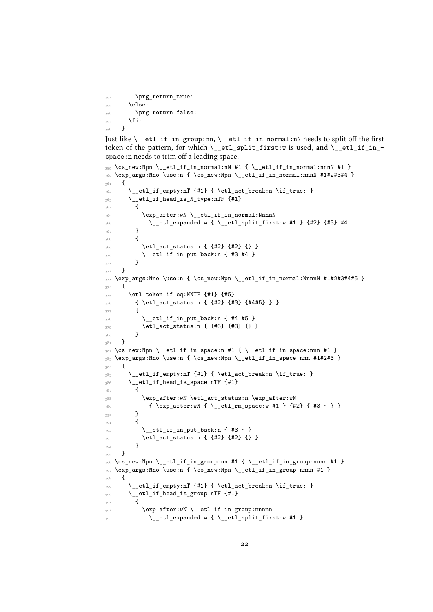```
354 \prg_return_true:
355 \else:
356 \prg_return_false:
357 \fi:
358 }
```
<span id="page-21-26"></span>Just like  $\cup$ \_etl\_if\_in\_group:nn,  $\cup$ \_etl\_if\_in\_normal:nN needs to split off the first token of the pattern, for which  $\setminus$  etl split first:w is used, and  $\setminus$  etl if in space:n needs to trim off a leading space.

```
359 \text{ \&\n 259} \cs_new:Npn \__etl_if_in_normal:nN #1 { \__etl_if_in_normal:nnnN #1 }
360 \exp_args:Nno \use:n { \cs_new:Npn \__etl_if_in_normal:nnnN #1#2#3#4 }
361 {
\frac{362}{ } \_etl_if_empty:nT {#1} { \etl_act_break:n \if_true: }
363 \__etl_if_head_is_N_type:nTF {#1}
364 {
365 \exp_after:wN \__etl_if_in_normal:NnnnN
366 \__etl_expanded:w { \__etl_split_first:w #1 } {#2} {#3} #4
367 }
368 {
369 \etl_act_status:n { {#2} {#2} {} }
\sum_{370} \__etl_if_in_put_back:n { #3 #4 }
371 }
372 }
373 \exp_args:Nno \use:n { \cs_new:Npn \__etl_if_in_normal:NnnnN #1#2#3#4#5 }
374 {
375 \etl_token_if_eq:NNTF {#1} {#5}
376 { \etl_act_status:n { {#2} {#3} {#4#5} } }
\overline{\mathbf{3}}\sum_{378} \__etl_if_in_put_back:n { #4 #5 }
_{379} \etl_act_status:n { {#3} {#3} {} }
380 }
381 }
382 \text{ } \csc \text{ }new:Npn \__etl_if_in_space:n #1 { \__etl_if_in_space:nnn #1 }
383 \exp_args:Nno \use:n { \cs_new:Npn \__etl_if_in_space:nnn #1#2#3 }
384 \sim f
\frac{385}{ } \__etl_if_empty:nT {#1} { \etl_act_break:n \if_true: }
386 \__etl_if_head_is_space:nTF {#1}
387 \uparrow388 \exp_after:wN \etl_act_status:n \exp_after:wN
389 { \exp_after:wN { \__etl_rm_space:w #1 } {#2} { #3 ~ } }
390 }
\overline{391} \overline{6}\sum_{392} \__etl_if_in_put_back:n { #3 ~ }
393 \etl_act_status:n { {#2} {#2} {} }
394 }
395 }
396 \cs_new:Npn \__etl_if_in_group:nn #1 { \__etl_if_in_group:nnnn #1 }
397 \text{ (exp-arg}:Nno \use:n { \cs_new:Npn \_etl_if_in_group:nnnn #1 }
398 {
\frac{399}{ } \__etl_if_empty:nT {#1} { \etl_act_break:n \if_true: }
_{400} \_etl_if_head_is_group:nTF {#1}
401 \{402 \exp_after:wN \__etl_if_in_group:nnnnn
\angle_etl_expanded:w { \angle_etl_split_first:w #1 }
```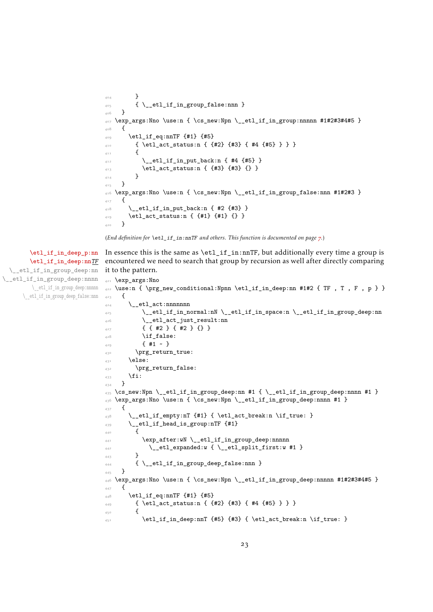```
404 }
405 { \__etl_if_in_group_false:nnn }
406 }
407 \exp_args:Nno \use:n { \cs_new:Npn \__etl_if_in_group:nnnnn #1#2#3#4#5 }
<sub>408</sub> {
_{409} \etl_if_eq:nnTF {#1} {#5}
410 { \etl_act_status:n { {#2} {#3} { #4 {#5} } } }
411 \{^{412} \__etl_if_in_put_back:n { #4 {#5} }
413 \etl_act_status:n { {#3} {#3} {} }
\overline{a_{14}} }
415 }
416 \exp_args:Nno \use:n { \cs_new:Npn \__etl_if_in_group_false:nnn #1#2#3 }
417 \frac{1}{2}^{418} \__etl_if_in_put_back:n { #2 {#3} }
_{419} \etl_act_status:n { {#1} {#1} {} }
420 }
```
<span id="page-22-10"></span><span id="page-22-9"></span><span id="page-22-1"></span>(*End definition for* \etl\_if\_in:nnTF *and others. This function is documented on page [7](#page-6-3).*)

<span id="page-22-15"></span>In essence this is the same as  $\text{etl}$  if in:nnTF, but additionally every time a group is encountered we need to search that group by recursion as well after directly comparing it to the pattern.

```
421 \exp_args:Nno
\Delta \use:n {\prg_new_conditional:Npnn \etl_if_in_deep:nn #1#2 { TF , T , F , p } }
423 \frac{1}{2}424 \__etl_act:nnnnnnn
425 \__etl_if_in_normal:nN \__etl_if_in_space:n \__etl_if_in_group_deep:nn
426 \__etl_act_just_result:nn
427 \{ \{ \#2 \} \{ \#2 \} \{ \}428 \if_false:
429 \{ H1 \sim \}430 \prg_return_true:
431 \else:
432 \prg_return_false:
433 \fi:
434 }
\frac{435}{15} \cs_new:Npn \__etl_if_in_group_deep:nn #1 { \__etl_if_in_group_deep:nnnn #1 }
436 \exp_args:Nno \use:n { \cs_new:Npn \__etl_if_in_group_deep:nnnn #1 }
437 {
\frac{438}{ } \__etl_if_empty:nT {#1} { \etl_act_break:n \if_true: }
\lambda_{439} \__etl_if_head_is_group:nTF {#1}
440 {
441 \exp_after:wN \__etl_if_in_group_deep:nnnnn
\setminus \_\texttt{etl\_expanded:w} { \setminus \_\texttt{etl\_split\_first:w} #1 }
443 }
444 { \__etl_if_in_group_deep_false:nnn }
445 }
_{446} \exp_args:Nno \use:n { \cs_new:Npn \_etl_if_in_group_deep:nnnnn #1#2#3#4#5 }
447 {
_{448} \etl_if_eq:nnTF {#1} {#5}
449 { \etl_act_status:n { {#2} {#3} { #4 {#5} } } }
450 {
\texttt{im\_deep:nnT {#5} {#3} { \etl\_act\_break:n \if\_true: }
```
## [\etl\\_if\\_in\\_deep\\_p:nn](#page-6-4) [\etl\\_if\\_in\\_deep:nn](#page-6-4)TF \\_\_etl\_if\_in\_group\_deep:nn \\_\_etl\_if\_in\_group\_deep:nnnn \\_\_etl\_if\_in\_group\_deep:nnnnn \\_\_etl\_if\_in\_group\_deep\_false:nnn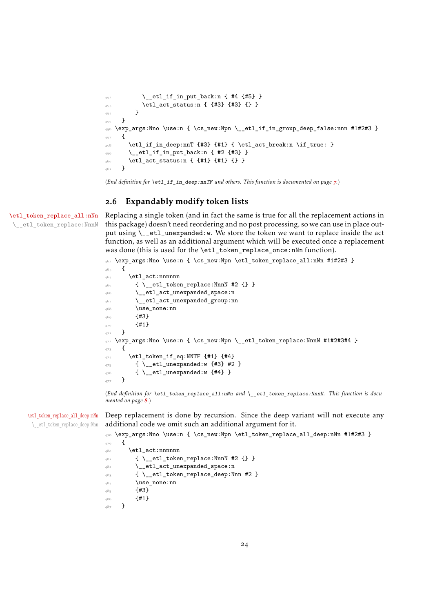```
\setminus _etl_if_in_put_back:n { #4 {#5} }
453 \etl_act_status:n { {#3} {#3} {} }
A \subseteq A455 }
_{456} \exp_args:Nno \use:n { \cs_new:Npn \__etl_if_in_group_deep_false:nnn #1#2#3 }
457 {
458 \etl_if_in_deep:nnT {#3} {#1} { \etl_act_break:n \if_true: }
\lambda_{459} \__etl_if_in_put_back:n { #2 {#3} }
460 \etl_act_status:n { {#1} {#1} {} }
461 }
```
<span id="page-23-18"></span><span id="page-23-9"></span><span id="page-23-7"></span>(*End definition for* \etl\_if\_in\_deep:nnTF *and others. This function is documented on page [7](#page-6-4).*)

# <span id="page-23-0"></span>2.6 Expandably modify token lists

[\etl\\_token\\_replace\\_all:nNn](#page-7-0) \\_\_etl\_token\_replace:NnnN <span id="page-23-11"></span>Replacing a single token (and in fact the same is true for all the replacement actions in this package) doesn't need reordering and no post processing, so we can use in place output using \\_\_etl\_unexpanded:w. We store the token we want to replace inside the act function, as well as an additional argument which will be executed once a replacement was done (this is used for the \etl\_token\_replace\_once:nNn function).

```
462 \exp_args:Nno \use:n { \cs_new:Npn \etl_token_replace_all:nNn #1#2#3 }
463 {
464 \etl act:nnnnnn
465 { \__etl_token_replace:NnnN #2 {} }
466 \__etl_act_unexpanded_space:n
467 \__etl_act_unexpanded_group:nn
468 \use_none:nn
469 \{43\}470 {41}471 }
472 \exp_args:Nno \use:n { \cs_new:Npn \__etl_token_replace:NnnN #1#2#3#4 }
473 \frac{1}{2}_{474} \etl_token_if_eq:NNTF {#1} {#4}
475 { \__etl_unexpanded:w {#3} #2 }
476 { \__etl_unexpanded:w {#4} }
477 }
```
<span id="page-23-21"></span><span id="page-23-20"></span><span id="page-23-10"></span><span id="page-23-3"></span>(*End definition for* \etl\_token\_replace\_all:nNn *and* \\_\_etl\_token\_replace:NnnN*. This function is documented on page [8](#page-7-0).*)

[\etl\\_token\\_replace\\_all\\_deep:nNn](#page-7-1) \\_\_etl\_token\_replace\_deep:Nnn Deep replacement is done by recursion. Since the deep variant will not execute any additional code we omit such an additional argument for it.

```
478 \exp_args:Nno \use:n { \cs_new:Npn \etl_token_replace_all_deep:nNn #1#2#3 }
479 \epsilon480 \etl act:nnnnnn
481 { \__etl_token_replace:NnnN #2 {} }
\angle etl_act_unexpanded_space:n
483 { \__etl_token_replace_deep:Nnn #2 }
484 \use_none:nn
485 {#3}
486 f#1}
487 }
```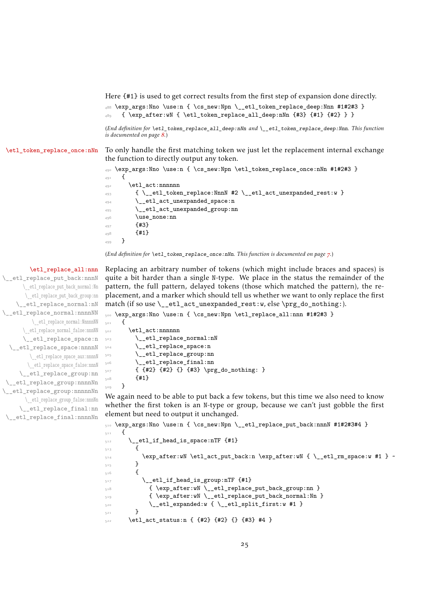<span id="page-24-11"></span>Here {#1} is used to get correct results from the first step of expansion done directly.

```
488 \exp_args:Nno \use:n { \cs_new:Npn \__etl_token_replace_deep:Nnn #1#2#3 }
489 { \exp_after:wN { \etl_token_replace_all_deep:nNn {#3} {#1} {#2} } }
```
<span id="page-24-9"></span>(*End definition for* \etl\_token\_replace\_all\_deep:nNn *and* \\_\_etl\_token\_replace\_deep:Nnn*. This function is documented on page [8](#page-7-1).*)

[\etl\\_token\\_replace\\_once:nNn](#page-6-5) To only handle the first matching token we just let the replacement internal exchange the function to directly output any token.

```
490 \exp_args:Nno \use:n { \cs_new:Npn \etl_token_replace_once:nNn #1#2#3 }
491 {
492 \etl_act:nnnnnn
\{\ \setminus \_\text{etl\_token\_replace: NnnN \#2 \ \setminus \_\text{etl\_act\_unexpanded\_rest:w } \}494 \__etl_act_unexpanded_space:n
         \__etl_act_unexpanded_group:nn
496 \use_none:nn
497 {43}498 \{ \text{#1} \}499 }
```
<span id="page-24-21"></span>(*End definition for* \etl\_token\_replace\_once:nNn*. This function is documented on page [7](#page-6-5).*)

#### [\etl\\_replace\\_all:nnn](#page-7-2)

\\_\_etl\_replace\_put\_back:nnnN \\_\_etl\_replace\_put\_back\_normal:Nn \\_\_etl\_replace\_put\_back\_group:nn \\_\_etl\_replace\_normal:nN \\_\_etl\_replace\_normal:nnnnNN \\_\_etl\_replace\_normal:NnnnnNN \\_\_etl\_replace\_normal\_false:nnnNN \\_\_etl\_replace\_space:n \_\_etl\_replace\_space:nnnnN \\_\_etl\_replace\_space\_aux:nnnnN \\_\_etl\_replace\_space\_false:nnnN \\_\_etl\_replace\_group:nn \\_\_etl\_replace\_group:nnnnNn \\_\_etl\_replace\_group:nnnnnNn \\_\_etl\_replace\_group\_false:nnnNn \\_\_etl\_replace\_final:nn \\_\_etl\_replace\_final:nnnnNn

<span id="page-24-8"></span>Replacing an arbitrary number of tokens (which might include braces and spaces) is quite a bit harder than a single N-type. We place in the status the remainder of the pattern, the full pattern, delayed tokens (those which matched the pattern), the replacement, and a marker which should tell us whether we want to only replace the first match (if so use \\_\_etl\_act\_unexpanded\_rest:w, else \prg\_do\_nothing:).

<span id="page-24-2"></span>500 \exp\_args:Nno \use:n { \cs\_new:Npn \etl\_replace\_all:nnn #1#2#3 }

```
501 {
502 \etl_act:nnnnnn
503 \__etl_replace_normal:nN
504 \__etl_replace_space:n
505 \__etl_replace_group:nn
506 \__etl_replace_final:nn
_{507} { {#2} {#2} {} {#3} \prg_do_nothing: }
508 {#1}
509 }
```
<span id="page-24-20"></span>We again need to be able to put back a few tokens, but this time we also need to know whether the first token is an N-type or group, because we can't just gobble the first element but need to output it unchanged.

```
510 \exp_args:Nno \use:n { \cs_new:Npn \__etl_replace_put_back:nnnN #1#2#3#4 }
511 {
\verb|512| \__etl_if_head_is_space:nTF {#1}
513 {
\sup_{514} \exp_after:wN \etl_act_put_back:n \exp_after:wN { \__etl_rm_space:w #1 } ~
515 }
516 {
517 \qquad \qquad \backslash \_etl\_if\_head\_is\_group:nTF_{+1}$\mathbb{S}^{\mathbb{18}}$ $\{ \exp_after: wN \_{et1_replace_put_back\_group: nn }$_{519} { \exp_after:wN \__etl_replace_put_back_normal:Nn }
\sum_{520} \__etl_expanded:w {\__etl_split_first:w #1 }
521 }
_{5^{22}} \etl_act_status:n { {#2} {#2} {} {#3} #4 }
```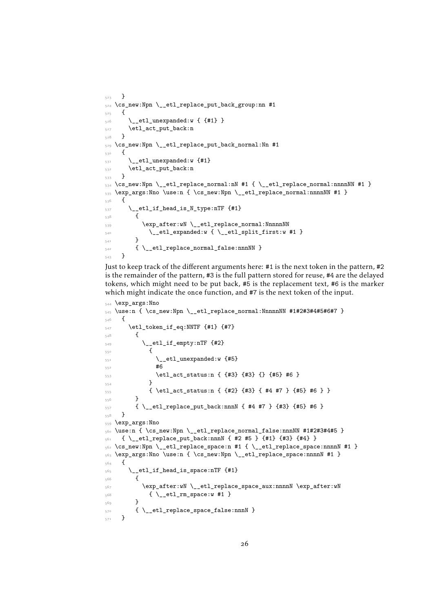```
523 }
_{5^{24}} \cs_new:Npn \__etl_replace_put_back_group:nn #1
525 {
_{526} \__etl_unexpanded:w { {#1} }
_{527} \verb| \verb| \verb| \verb| \verb| \verb| \verb| \verb| \verb| \verb| \verb| \verb| \verb| \verb| \verb| \verb| \verb| \verb| \verb| \verb| \verb| \verb| \verb| \verb| \verb| \verb| \verb| \verb| \verb| \verb| \verb| \verb| \verb| \verb| \verb| \verb528 }
529 \cs_new:Npn \__etl_replace_put_back_normal:Nn #1
530 {
\sum_{531} \_etl_unexpanded:w {#1}
532 \etl_act_put_back:n
533 }
534 \text{ } \csc 1 . Note that \text{ } and \text{ } and \text{ } \text{ } \text{ } \text{ } \text{ } \text{ } \text{ } \text{ } \text{ } \text{ } \text{ } \text{ } \text{ } \text{ } \text{ } \text{ } \text{ } \text{ } \text{ } \text{ } \text{ } \text{ } \text{ } \text{ } \text{_{535} \exp_args:Nno \use:n { \cs_new:Npn \__etl_replace_normal:nnnnNN #1 }
536 {
537 \__etl_if_head_is_N_type:nTF {#1}
538 {
539 \exp_after:wN \__etl_replace_normal:NnnnnNN
\sum_{540} \__etl_expanded:w {\__etl_split_first:w #1 }
541 }
\left\{ \ \right. \left\{ \ \right. \left\{ \ \right. \left\{ \ \right. \left\{ \ \right. } \right. \left\{ \ \right. \right\} \ \left. \right\}543 }
```
<span id="page-25-21"></span><span id="page-25-15"></span><span id="page-25-13"></span><span id="page-25-3"></span><span id="page-25-2"></span>Just to keep track of the different arguments here: #1 is the next token in the pattern, #2 is the remainder of the pattern, #3 is the full pattern stored for reuse, #4 are the delayed tokens, which might need to be put back, #5 is the replacement text, #6 is the marker which might indicate the once function, and #7 is the next token of the input.

```
544 \exp_args:Nno
_{545} \use:n { \cs_new:Npn \__etl_replace_normal:NnnnnNN #1#2#3#4#5#6#7 }
546 {
_{547} \etl_token_if_eq:NNTF {#1} {#7}
548 \qquad \qquad \qquad \qquad \qquad \qquad \qquad \qquad \qquad \qquad \qquad \qquad \qquad \qquad \qquad \qquad \qquad \qquad \qquad \qquad \qquad \qquad \qquad \qquad \qquad \qquad \qquad \qquad \qquad \qquad \qquad \qquad \qquad \qquad \qquad \qquad \_{549} \__etl_if_empty:nTF {#2}
550 \left\{ \begin{array}{c} \end{array} \right.\big\{\begin{matrix} 551 \\ -6 \end{matrix} = t1_unexpanded:w {#5}
1552 100553 \etl_act_status:n { {#3} {#3} {} {#5} #6 }
\overline{\mathbf{5}} \overline{\mathbf{5}} \overline{\mathbf{5}}555 { \etl_act_status:n { {#2} {#3} { #4 #7 } {#5} #6 } }
556 }
557 \{ \ \_et\_et1\_replace\_put\_back:nnnN \ \{ \ #4 \ #7 \ \} \ \{ \#3 \} \ \{ \#5 \} \ #6 \ \}558 }
559 \exp_args:Nno
560 \use:n { \cs_new:Npn \__etl_replace_normal_false:nnnNN #1#2#3#4#5 }
_{561} { \ etl_replace_put_back:nnnN { #2 #5 } {#1} {#3} {#4} }
562 \cs_new:Npn \__etl_replace_space:n #1 { \__etl_replace_space:nnnnN #1 }
563 \exp_args:Nno \use:n { \cs_new:Npn \__etl_replace_space:nnnnN #1 }
564 {
565 \__etl_if_head_is_space:nTF {#1}
566 {
567 \exp_after:wN \__etl_replace_space_aux:nnnnN \exp_after:wN
_{5^{68}} \qquad \qquad { \__etl_rm_space:w #1 }
569 }
_{570} { \__etl_replace_space_false:nnnN }
571 }
```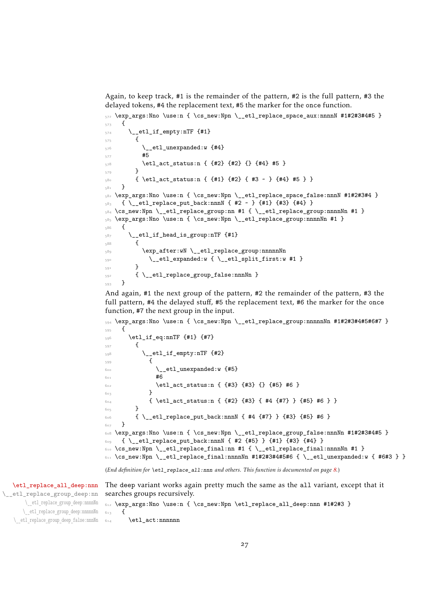Again, to keep track, #1 is the remainder of the pattern, #2 is the full pattern, #3 the delayed tokens, #4 the replacement text, #5 the marker for the once function.

```
572 \exp_args:Nno \use:n { \cs_new:Npn \__etl_replace_space_aux:nnnnN #1#2#3#4#5 }
573 {
_{574} \__etl_if_empty:nTF {#1}
575 \{\sum_{576} \__etl_unexpanded:w {#4}
577 #5
_{578} \etl_act_status:n { {#2} {#2} {} {#4} #5 }
579 }
_{580} { \etl_act_status:n { {#1} {#2} { #3 ~ } {#4} #5 } }
581 }
582 \exp_args:Nno \use:n { \cs_new:Npn \__etl_replace_space_false:nnnN #1#2#3#4 }
_{583} { \__etl_replace_put_back:nnnN { #2 ~ } {#1} {#3} {#4} }
584 \text{ Cs\_new:Npn } \_\texttt{et1_replace\_group:nn  #1 { } \_\texttt{et1_replace\_group:nnnnNn  #1 }585 \exp_args:Nno \use:n { \cs_new:Npn \__etl_replace_group:nnnnNn #1 }
586 {
_{587} \__etl_if_head_is_group:nTF {#1}
588 \frac{1}{2}589 \exp_after:wN \__etl_replace_group:nnnnnNn
590 \__etl_expanded:w {\__etl_split_first:w #1 }
591 }
592 { \__etl_replace_group_false:nnnNn }
593 }
```
<span id="page-26-22"></span><span id="page-26-19"></span><span id="page-26-16"></span><span id="page-26-3"></span><span id="page-26-2"></span>And again, #1 the next group of the pattern, #2 the remainder of the pattern, #3 the full pattern, #4 the delayed stuff, #5 the replacement text, #6 the marker for the once function, #7 the next group in the input.

```
594 \exp_args:Nno \use:n { \cs_new:Npn \__etl_replace_group:nnnnnNn #1#2#3#4#5#6#7 }
595 {
596 \text{letl}_i_{eq:nnTF} {#1} {#7}
597 {
_{598} \__etl_if_empty:nTF {#2}
599600 \__etl_unexpanded:w {#5}
601 #6602 \etl_act_status:n { {#3} {#3} {} {#5} #6 }
603 }
\begin{array}{ccccc} \circ & & \texttt{4} & \texttt{4} & \texttt{4} & \texttt{4} & \texttt{4} & \texttt{4} & \texttt{4} & \texttt{4} & \texttt{4} & \texttt{4} & \texttt{4} & \texttt{4} & \texttt{4} & \texttt{4} & \texttt{4} & \texttt{4} & \texttt{4} & \texttt{4} & \texttt{4} & \texttt{4} & \texttt{4} & \texttt{4} & \texttt{4} & \texttt{4} & \texttt{4} & \texttt{4} & \texttt{4} & \texttt{4} & \texttt{4} & \texttt{4605 }
606 { \__etl_replace_put_back:nnnN { #4 {#7} } {#3} {#5} #6 }
607 }
_{608} \exp_args:Nno \use:n { \cs_new:Npn \__etl_replace_group_false:nnnNn #1#2#3#4#5 }
609 { \_etl_replace_put_back:nnnN { #2 {#5} } {#1} {#3} {#4} }
610 \cs_new:Npn \_etl_replace_final:nn #1 { \_etl_replace_final:nnnnNn #1 }
611 \text{ Cs\_new: Npn } \_\text{etl\_replace\_final:nnnnNn #1#2#3#4#5#6 { } \_\text{etl\_unexpanded:w { #6#3 } }
```
<span id="page-26-13"></span><span id="page-26-7"></span><span id="page-26-6"></span><span id="page-26-5"></span>(*End definition for* \etl\_replace\_all:nnn *and others. This function is documented on page [8](#page-7-2).*)

<span id="page-26-15"></span>The deep variant works again pretty much the same as the all variant, except that it searches groups recursively.

```
612 \exp_args:Nno \use:n { \cs_new:Npn \etl_replace_all_deep:nnn #1#2#3 }
613 \frac{1}{2}
```

```
\__etl_replace_group_deep:nnnnNn
    \__etl_replace_group_deep:nnnnnNn
\__etl_replace_group_deep_false:nnnNn
```
[\etl\\_replace\\_all\\_deep:nnn](#page-7-3) \\_\_etl\_replace\_group\_deep:nn

<span id="page-26-9"></span> $614$  \etl\_act:nnnnnn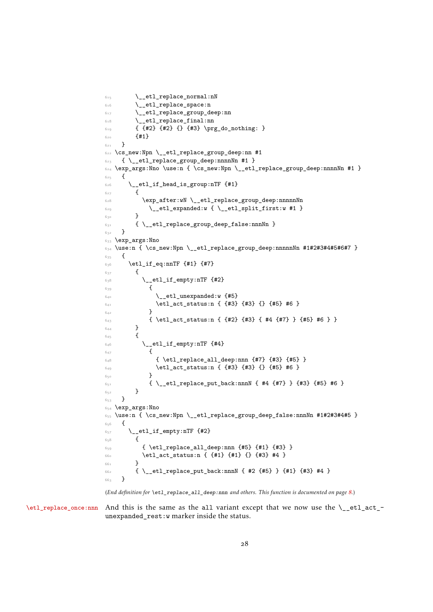```
615 \qquad \qquad \setminus \_ {\texttt{etl\_replace\_normal}: nN}\bigwedge__etl_replace_space:n
617 \ etl_replace_group_deep:nn
618 \__etl_replace_final:nn
619 { {#2} {#2} {} {#3} \prg_do_nothing: }6<sub>20</sub> {#1}
621 }
622 \cs_new:Npn \__etl_replace_group_deep:nn #1
_{623} { \__etl_replace_group_deep:nnnnNn #1 }
\begin{array}{r} \text{624} \ \text{exp\_args:} \ \text{No} \ \text{use:} \ \text{62\_new:} \ \text{Npn} \ \text{etl\_replace\_group\_deep:} \ \text{nnnn} \ \text{th} \ \text{62\_new:} \ \text{Npn} \ \text{etl\_replace\_group\_deep:} \ \text{nnnn} \ \text{th} \ \text{63\_new:} \ \text{Npn} \ \text{c} \ \text{d} \ \text{d} \ \text{d} \ \text{d} \ \text{d} \ \text{d} \ \text{d} \ \text{d} \ \text{d} \ \text{d} \ \text{d} \ \text{d} \625 {
626 \__etl_if_head_is_group:nTF {#1}
627 \left\{ \begin{array}{c} 627 & \frac{1}{2} \\ 212 & \frac{1}{2} \\ 212 & \frac{1}{2} \\ 212 & \frac{1}{2} \\ 212 & \frac{1}{2} \\ 212 & \frac{1}{2} \\ 212 & \frac{1}{2} \\ 212 & \frac{1}{2} \\ 212 & \frac{1}{2} \\ 212 & \frac{1}{2} \\ 212 & \frac{1}{2} \\ 212 & \frac{1}{2} \\ 212 & \frac{1}{2} \\ 212 & \frac{1}{2} \\ 212 & \frac{1}{2} \\ 212 & \frac{628 \exp_after:wN \__etl_replace_group_deep:nnnnnNn
\big\{\setminus\_\texttt{etl\_expanded:w}~\{\setminus\_\texttt{etl\_split\_first:w}~\texttt{\#1~}\}630 }
631 { \__etl_replace_group_deep_false:nnnNn }
632 }
633 \exp_args:Nno
634 \use:n { \cs_new:Npn \__etl_replace_group_deep:nnnnnNn #1#2#3#4#5#6#7 }
635 {
636 \etl_if_eq:nnTF {#1} {#7}
6_{37} {
638 \__etl_if_empty:nTF {#2}
639 {
\mathcal{S}_{40} \qquad \qquad \backslash _{\texttt{\_}etl\_unexpanded:w} {#5}
\begin{array}{ccc} 641 & \text{641} \\ 641 & \text{642} \end{array} \etl_act_status:n { {#3} {#3} {} {#5} #6 }
642 }
643 { \etl_act_status:n { {#2} {#3} {#4} {#7} } {#5} #6 } }
6_{44} }
645 {
646 \qquad \qquad \setminus \underline{\phantom{0}} etl_if_empty:nTF {#4}
647 {
648 { \etl_replace_all_deep:nnn {#7} {#3} {#5} }
\frac{649}{45} \text{letl}_\text{att} { \{#3\} {\} {\{#5\} #6 }
650 }
651 \{\ \_et\_{replace\_put\_back:nnnN} \{  #4 \{ #7\} \} \{ #3\} \{ #5\} #6 \}652 }
653 }
654 \exp_args:Nno
655 \use:n { \cs_new:Npn \__etl_replace_group_deep_false:nnnNn #1#2#3#4#5 }
656 {
657 \__etl_if_empty:nTF {#2}
658 {
659 { \etl_replace_all_deep:nnn {#5} {#1} {#3} }
660 \etl_act_status:n { {#1} {#1} {} {#3} #4 }
661 }
662 { \__etl_replace_put_back:nnnN { #2 {#5} } {#1} {#3} #4 }
663 }
```
<span id="page-27-24"></span><span id="page-27-21"></span><span id="page-27-19"></span><span id="page-27-18"></span><span id="page-27-14"></span><span id="page-27-13"></span><span id="page-27-9"></span><span id="page-27-7"></span><span id="page-27-6"></span><span id="page-27-5"></span><span id="page-27-4"></span><span id="page-27-3"></span>(*End definition for* \etl\_replace\_all\_deep:nnn *and others. This function is documented on page [8](#page-7-3).*)

[\etl\\_replace\\_once:nnn](#page-7-4) And this is the same as the all variant except that we now use the \\_\_etl\_act\_unexpanded\_rest:w marker inside the status.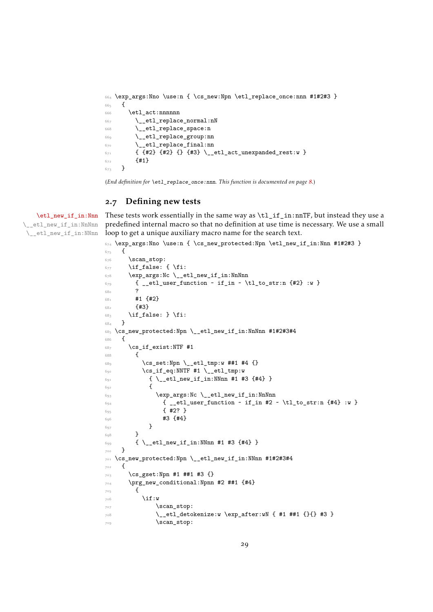```
664 \exp_args:Nno \use:n { \cs_new:Npn \etl_replace_once:nnn #1#2#3 }
665 {
666 \etl act:nnnnnn
667 \__etl_replace_normal:nN
668 \__etl_replace_space:n
669 \__etl_replace_group:nn
670 \__etl_replace_final:nn
\begin{array}{ll} \text{\tiny{671}} & \text{\tiny{f}} & \text{\tiny{f}} \text{\tiny{42}} & \text{\tiny{42}} & \text{\tiny{671}} & \text{\tiny{671}} & \text{\tiny{671}} & \text{\tiny{671}} & \text{\tiny{671}} & \text{\tiny{671}} & \text{\tiny{671}} & \text{\tiny{671}} & \text{\tiny{671}} & \text{\tiny{671}} & \text{\tiny{671}} & \text{\tiny{671}} & \text{\tiny{671}} & \text{\tiny{671}} & \text{\tiny{671}} & \text{\tiny{671}} & \text{\tiny{671}} &672 {41}673 }
```
<span id="page-28-13"></span><span id="page-28-11"></span>(*End definition for* \etl\_replace\_once:nnn*. This function is documented on page [8](#page-7-4).*)

# <span id="page-28-0"></span>.7 Defining new tests

[\etl\\_new\\_if\\_in:Nnn](#page-8-3) \\_\_etl\_new\_if\_in:NnNnn \\_\_etl\_new\_if\_in:NNnn

<span id="page-28-10"></span>These tests work essentially in the same way as \tl\_if\_in:nnTF, but instead they use a predefined internal macro so that no definition at use time is necessary. We use a small loop to get a unique auxiliary macro name for the search text.

```
674 \exp_args:Nno \use:n { \cs_new_protected:Npn \etl_new_if_in:Nnn #1#2#3 }
675 {
676 \scan_stop:
677 \if false: { \fi:
678 \exp_args:Nc \_etl_new_if_in:NnNnn
679 { __etl_user_function ~ if_in ~ \tl_to_str:n {#2} :w }
680 ?
681 #1 \{42\}682 f#3}
683 \if_false: } \fi:
684 }
685 \cs_new_protected:Npn \__etl_new_if_in:NnNnn #1#2#3#4
686 {
687 \cs if exist:NTF #1
688 {
689 \cs_set:Npn \_etl_tmp:w ##1 #4 {}
690 \c{s_i f_eq}:NNTF #1 \lncs_i f_eq:
691 { \__etl_new_if_in:NNnn #1 #3 {#4} }
692 \left\{\right.693 \text{e} \text{args:} \text{Nc } \text{left\_{} new\_if\_in:} \text{NnNnn}\begin{minipage}[c]{0} \left\{ \begin{array}{cc} -\text{etl}_\text{user}\text{function}\end{array} \right. & \text{if}_\text{in} \text{#2}\end{minipage} \begin{minipage}[c]{0} \left\{ \begin{array}{cc} -\text{etl}_\text{user}\text{function}\end{array} \right. & \text{if}_\text{in} \text{#2}\end{minipage} \begin{minipage}[c]{0} \left\{ \begin{array}{cc} -\text{etl}_\text{user}\text{function}\end{array} \right. & \text{if}_\text{in} \text{#2}\end{minipage} \begin{minipage}[c]{0} \left\{ \695 { #2? }
\begin{array}{ccccc}\n\bullet & & & & & \bullet & \\
6 & & & & & \bullet & \\
6 & & & & & \bullet & \\
6 & & & & & \bullet & \\
6 & & & & & & \bullet\n\end{array}697 }
698 }
699 { \__etl_new_if_in:NNnn #1 #3 {#4} }
700 }
701 \cs_new_protected:Npn \__etl_new_if_in:NNnn #1#2#3#4
702 \frac{1}{2}703 \cs_gset:Npn #1 ##1 #3 {}
704 \prg_new_conditional:Npnn #2 ##1 {#4}
705 {
706 \if:w
707 \scan_stop:
_{708} \ etl detokenize:w \exp after:wN { #1 ##1 {}{} #3 }
709 \scan stop:
```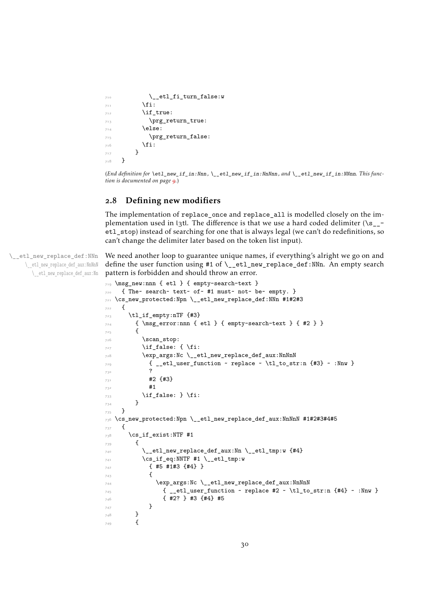```
\sum_{\text{10}} \text{10} \text{11} \text{12} \text{13}711 \fi:
712 \if true:
713 \prg_return_true:
714 \else:
715 \prg_return_false:
716 \fi:
717 }
718 }
```
<span id="page-29-19"></span><span id="page-29-13"></span>(*End definition for* \etl\_new\_if\_in:Nnn *,* \\_\_etl\_new\_if\_in:NnNnn *, and* \\_\_etl\_new\_if\_in:NNnn*. This function is documented on page [9](#page-8-3).*)

## <span id="page-29-0"></span>.8 Defining new modifiers

The implementation of replace\_once and replace\_all is modelled closely on the implementation used in l3tl. The difference is that we use a hard coded delimiter  $\langle \s_{z} \rangle$ etl\_stop) instead of searching for one that is always legal (we can't do redefinitions, so can't change the delimiter later based on the token list input).

\\_\_etl\_new\_replace\_def:NNn \\_\_etl\_new\_replace\_def\_aux:NnNnN \\_\_etl\_new\_replace\_def\_aux:Nn We need another loop to guarantee unique names, if everything's alright we go on and define the user function using #1 of \\_\_etl\_new\_replace\_def:NNn. An empty search pattern is forbidden and should throw an error.

```
_{719} \msg_new:nnn { etl } { empty-search-text }
720 { The~ search~ text~ of~ #1 must~ not~ be~ empty. }
721 \cs_new_protected:Npn \__etl_new_replace_def:NNn #1#2#3
722 {
723 \tl_if_empty:nTF {#3}
724 { \msg_error:nnn { etl } { empty-search-text } { #2 } }
725 \{726 \scan stop:
727 \if false: { \fi:
728 \exp_args:Nc \_etl_new_replace_def_aux:NnNnN
{ }_{29} { _{-}etl_user_function ~ replace ~ \tl_to_str:n {#3} ~ :Nnw }
730 ?
731 \#2 \{\#3\}732 #1
\inf_{733} \if_false: } \fi:
734 }
735 }
736 \text{ Cs_new-protected: Npn } \_et1_new\_replace\_def_aux: NnNnN #1#2#3#4#5737 {
738 \cs_if_exist:NTF #1
739 {
_{740} \ etl new replace def aux:Nn \ etl tmp:w {#4}
741 \cs_if_eq:NNTF #1 \__etl_tmp:w
742 { #5 #1#3 {#4} }
743 \left\{ \begin{array}{c} \end{array} \right.744 \exp_args:Nc \__etl_new_replace_def_aux:NnNnN
745 { __etl_user_function ~ replace #2 ~ \tl_to_str:n {#4} ~ :Nnw }
746 { #2? } #3 {#4} #5
747 }
748 }
749 f
```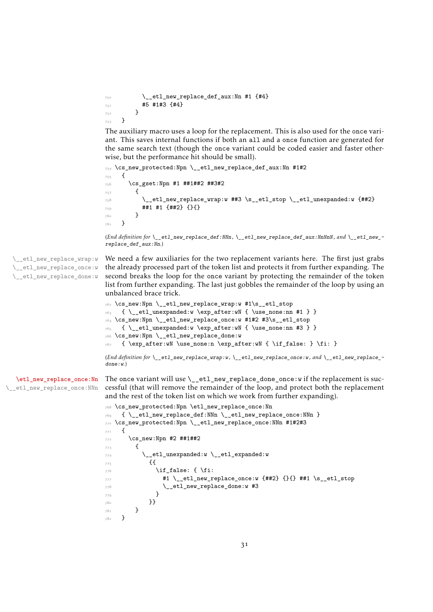```
\_etl_new_replace_def_aux:Nn #1 \{ \text{\#4}\}751 45 4143 44}
752 }
753 }
```
The auxiliary macro uses a loop for the replacement. This is also used for the once variant. This saves internal functions if both an all and a once function are generated for the same search text (though the once variant could be coded easier and faster otherwise, but the performance hit should be small).

```
754 \cs_new_protected:Npn \__etl_new_replace_def_aux:Nn #1#2
755 {
756 \cs_gset:Npn #1 ##1##2 ##3#2
757 {
758 \__etl_new_replace_wrap:w ##3 \s__etl_stop \__etl_unexpanded:w {##2}
759 ##1 #1 {##2} {}{}
        \mathcal{F}761 }
```
(*End definition for* \\_\_etl\_new\_replace\_def:NNn *,* \\_\_etl\_new\_replace\_def\_aux:NnNnN *, and* \\_\_etl\_new\_ replace\_def\_aux:Nn*.*)

\\_\_etl\_new\_replace\_wrap:w \\_\_etl\_new\_replace\_once:w \\_\_etl\_new\_replace\_done:w

<span id="page-30-11"></span>We need a few auxiliaries for the two replacement variants here. The first just grabs the already processed part of the token list and protects it from further expanding. The second breaks the loop for the once variant by protecting the remainder of the token list from further expanding. The last just gobbles the remainder of the loop by using an unbalanced brace trick.

```
762 \cs_new:Npn \__etl_new_replace_wrap:w #1\s__etl_stop
_{763} { \__etl_unexpanded:w \exp_after:wN { \use_none:nn #1 } }
764 \cs_new:Npn \__etl_new_replace_once:w #1#2 #3\s__etl_stop
_{765} { \_etl_unexpanded:w \exp_after:wN { \use_none:nn #3 } }
766 \cs_new:Npn \__etl_new_replace_done:w
767 { \exp_after:wN \use_none:n \exp_after:wN { \if_false: } \fi: }
```
<span id="page-30-18"></span><span id="page-30-3"></span>(*End definition for* \\_\_etl\_new\_replace\_wrap:w *,* \\_\_etl\_new\_replace\_once:w *, and* \\_\_etl\_new\_replace\_ done:w*.*)

[\etl\\_new\\_replace\\_once:Nn](#page-8-4) \\_\_etl\_new\_replace\_once:NNn

<span id="page-30-8"></span>The once variant will use  $\angle$  etl\_new\_replace\_done\_once:w if the replacement is successful (that will remove the remainder of the loop, and protect both the replacement and the rest of the token list on which we work from further expanding).

```
768 \cs_new_protected:Npn \etl_new_replace_once:Nn
_{769} { \_etl_new_replace_def:NNn \_etl_new_replace_once:NNn }
770 \cs_new_protected:Npn \__etl_new_replace_once:NNn #1#2#3
771 {
772 \text{ } \csc \text{ }new:Npn #2 ##1##2
773 \qquad \qquad \qquad \qquad \qquad \qquad \qquad \qquad \qquad \qquad \qquad \qquad \qquad \qquad \qquad \qquad \qquad \qquad \qquad \qquad \qquad \qquad \qquad \qquad \qquad \qquad \qquad \qquad \qquad \qquad \qquad \qquad \qquad \qquad \qquad \qquad774 \__etl_unexpanded:w \__etl_expanded:w
775 \{776 \if_false: { \fi:
\texttt{#1 } \setminus \texttt{\_etl_new\_replace\_once:w \{##2\} } \{\{\}\} \text{ ##1 } \setminus \texttt{s\_etl\_stop}\lambda_etl_new_replace_done:w #3
779 }
780 }}
781 }
782 }
```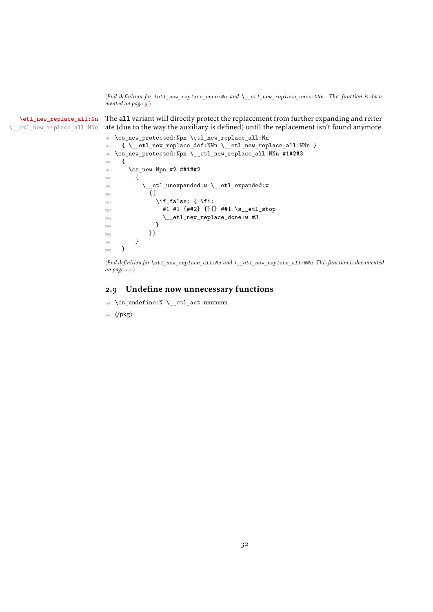(*End definition for* \etl\_new\_replace\_once:Nn *and* \\_\_etl\_new\_replace\_once:NNn*. This function is documented on page [9](#page-8-4).*)

[\etl\\_new\\_replace\\_all:Nn](#page-9-1) \\_\_etl\_new\_replace\_all:NNn The all variant will directly protect the replacement from further expanding and reiterate (due to the way the auxiliary is defined) until the replacement isn't found anymore.

```
783 \cs_new_protected:Npn \etl_new_replace_all:Nn
784 { \__etl_new_replace_def:NNn \__etl_new_replace_all:NNn }
785 \cs_new_protected:Npn \__etl_new_replace_all:NNn #1#2#3
786 {
787 \cs_new:Npn #2 ##1##2
788 {
789 \qquad \qquad \searrow _etl_unexpanded:w \searrow_etl_expanded:w
790 {{
791 \if{false: {\i}792 #1 #1 {##2} {}{} ##1 \s__etl_stop
\lambda_etl_new_replace_done:w #3
794 }
795 }}
796 }
797 }
```
<span id="page-31-10"></span><span id="page-31-9"></span><span id="page-31-8"></span>(*End definition for* \etl\_new\_replace\_all:Nn *and* \\_\_etl\_new\_replace\_all:NNn*. This function is documented on page [10](#page-9-1).*)

## <span id="page-31-0"></span>.9 Undefine now unnecessary functions

<span id="page-31-4"></span>\cs\_undefine:N \\_\_etl\_act:nnnnnnn

⟨*/*pkg⟩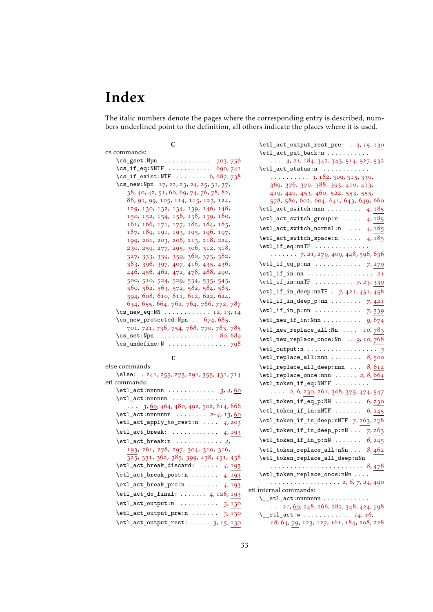# <span id="page-32-0"></span>Index

The italic numbers denote the pages where the corresponding entry is described, numbers underlined point to the definition, all others indicate the places where it is used.

# C cs commands: \cs\_gset:Npn . . . . . . . . . . . . . [703](#page-28-1), [756](#page-30-0) \cs\_if\_eq:NNTF ........... [690](#page-28-2),[741](#page-29-1) \cs\_if\_exist:NTF ........ [6](#page-10-4), [687](#page-28-3), [738](#page-29-2) \cs\_new:Npn [17](#page-10-5), [22](#page-10-6), [23](#page-10-7), [24](#page-10-8), [25](#page-11-0), [31](#page-11-1), [37](#page-11-2), [38](#page-11-3), [40](#page-11-4), [42](#page-11-5), [51](#page-11-6), [60](#page-12-1), [69](#page-12-2), [74](#page-12-3), [76](#page-12-4), [78](#page-12-5), [82](#page-12-6), [88](#page-13-0), [91](#page-13-1), [99](#page-13-2), [105](#page-13-3), [114](#page-13-4), [115](#page-13-5), [123](#page-13-6), [124](#page-14-0), [129](#page-14-1), [130](#page-14-2), [132](#page-14-3), [134](#page-14-4), [139](#page-14-5), [146](#page-14-6), [148](#page-14-7), [150](#page-14-8), [152](#page-14-9), [154](#page-14-10), [156](#page-14-11), [158](#page-15-0), [159](#page-15-1), [160](#page-15-2), [161](#page-15-3), [166](#page-15-4), [171](#page-15-5), [177](#page-15-6), [182](#page-15-7), [184](#page-15-8), [185](#page-16-0), [187](#page-16-1), [189](#page-16-2), [191](#page-16-3), [193](#page-16-4), [195](#page-16-5), [196](#page-16-6), [197](#page-16-7), [199](#page-16-8), [201](#page-16-9), [203](#page-16-10), [208](#page-16-11), [213](#page-17-1), [218](#page-17-2), [224](#page-17-3), [230](#page-17-4), [259](#page-18-0), [277](#page-18-1), [295](#page-19-0), [306](#page-19-1), [312](#page-19-2), [318](#page-19-3), [327](#page-20-0), [333](#page-20-1), [339](#page-20-2), [359](#page-21-0), [360](#page-21-1), [373](#page-21-2), [382](#page-21-3), [383](#page-21-4), [396](#page-21-5), [397](#page-21-6), [407](#page-22-0), [416](#page-22-1), [435](#page-22-2), [436](#page-22-3), [446](#page-22-4), [456](#page-23-1), [462](#page-23-2), [472](#page-23-3), [478](#page-23-4), [488](#page-24-0), [490](#page-24-1), [500](#page-24-2), [510](#page-24-3), [524](#page-25-0), [529](#page-25-1), [534](#page-25-2), [535](#page-25-3), [545](#page-25-4), [560](#page-25-5), [562](#page-25-6), [563](#page-25-7), [572](#page-26-0), [582](#page-26-1), [584](#page-26-2), [585](#page-26-3), [594](#page-26-4), [608](#page-26-5), [610](#page-26-6), [611](#page-26-7), [612](#page-26-8), [622](#page-27-0), [624](#page-27-1), [634](#page-27-2), [655](#page-27-3), [664](#page-28-4), [762](#page-30-1), [764](#page-30-2), [766](#page-30-3), [772](#page-30-4), [787](#page-31-1) \cs\_new\_eq:NN . . . . . . . . . . . . [12](#page-10-9), [13](#page-10-10), [14](#page-10-11)  $\csc_1$ new\_protected:Npn . . [674](#page-28-5), [685](#page-28-6), [701](#page-28-7), [721](#page-29-3), [736](#page-29-4), [754](#page-30-5), [768](#page-30-6), [770](#page-30-7), [783](#page-31-2), [785](#page-31-3)  $\csc$  set:Npn . . . . . . . . . . . . . . [80](#page-12-7), [689](#page-28-8)  $\csc$  undefine:  $N$  . . . . . . . . . . . . . . . [798](#page-31-4)

else commands:

E

| \else: . 241, 255, 273, 291, 355, 431, 714                                  |
|-----------------------------------------------------------------------------|
| etl commands:                                                               |
| $\text{letl}_\text{act:nnnnn \dots \dots \dots \quad 3, 4, 60$              |
| $\text{letl}_\text{act:nnnnnn$                                              |
| $\ldots$ 3, 60, 464, 480, 492, 502, 614, 666                                |
| $\text{letl}_\text{act:nnnnnnnn \dots 2-4, 13, 60$                          |
| $\texttt{letl}_\texttt{apply_to} \texttt{rest} : \ldots 4, 203$             |
| $\texttt{letl}_\texttt{break}: \ldots \ldots \ldots 4, 193$                 |
| $\text{letl}_\text{act}\text{break:n} \dots \dots \dots 4,$                 |
| 193, 261, 278, 297, 304, 310, 316,                                          |
| 325, 331, 362, 385, 399, 438, 451, 458                                      |
| $\texttt{letl}_\texttt{break}_\texttt{discard:} \ldots 4, 193$              |
| $\texttt{letl}_\texttt{break}_\texttt{post:n}$ 4, 193                       |
| $\texttt{letl}_\texttt{break\_pre:n}$ 4, 193                                |
| $\texttt{etl}_\texttt{add}_\texttt{final}: \ldots \ldots \quad 4, 126, 193$ |
| $\texttt{letl}_\texttt{output:n}$ 3,130                                     |
| $\texttt{letl}_\texttt{output\_pre:n} \dots \dots \quad 3,130$              |
| $\texttt{letl}_\texttt{output}$ rest:  3, 15, 130                           |

\etl\_act\_output\_rest\_pre: . *[3](#page-2-5)*, *[15](#page-14-14)*, [130](#page-14-13) \etl\_act\_put\_back:n . . . . . . . . . . . . . . *[4](#page-3-8)*, *[21](#page-20-5)*, [184](#page-15-9), [342](#page-20-6), [343](#page-20-7), [514](#page-24-6), [527](#page-25-8), [532](#page-25-9) \etl\_act\_status:n ............  $\ldots \ldots \ldots$  [3](#page-2-5), [182](#page-15-10), [309](#page-19-9), [315](#page-19-10), [330](#page-20-8), [369](#page-21-11), [376](#page-21-12), [379](#page-21-13), [388](#page-21-14), [393](#page-21-15), [410](#page-22-8), [413](#page-22-9), [419](#page-22-10), [449](#page-22-11), [453](#page-23-8), [460](#page-23-9), [522](#page-24-7), [553](#page-25-10), [555](#page-25-11), [578](#page-26-10), [580](#page-26-11), [602](#page-26-12), [604](#page-26-13), [641](#page-27-4), [643](#page-27-5), [649](#page-27-6), [660](#page-27-7) \etl\_act\_switch:nnn . . . . . . . . . *[4](#page-3-8)*, [185](#page-16-14) \etl\_act\_switch\_group:n . . . . . *[4](#page-3-8)*, [185](#page-16-14) \etl\_act\_switch\_normal:n . . . . *[4](#page-3-8)*, [185](#page-16-14) \etl\_act\_switch\_space:n . . . . . *[4](#page-3-8)*, [185](#page-16-14)  $\text{letl}_if\_eq:nnTF$  . . . . . . . . . . . . . . . . . . . . . *[7](#page-6-6)*, *[21](#page-20-5)*, [279](#page-18-6), [409](#page-22-12), [448](#page-22-13), [596](#page-26-14), [636](#page-27-8) \etl\_if\_eq\_p:nn . . . . . . . . . . . . *[7](#page-6-6)*, [279](#page-18-6) \etl\_if\_in:nn . . . . . . . . . . . . . . . . . *[21](#page-20-5)* \etl\_if\_in:nnTF . . . . . . . . . . *[7](#page-6-6)*, *[23](#page-22-14)*, [339](#page-20-9) \etl\_if\_in\_deep:nnTF . *[7](#page-6-6)*, [421](#page-22-15), [451](#page-22-7), [458](#page-23-7) \etl\_if\_in\_deep\_p:nn . . . . . . . . *[7](#page-6-6)*, [421](#page-22-15) \etl\_if\_in\_p:nn . . . . . . . . . . . . *[7](#page-6-6)*, [339](#page-20-9) \etl\_new\_if\_in:Nnn . . . . . . . . . . *[9](#page-8-5)*, [674](#page-28-10) \etl\_new\_replace\_all:Nn . . . . *[10](#page-9-2)*, [783](#page-31-5) \etl\_new\_replace\_once:Nn . . *[9](#page-8-5), [10](#page-9-2)*, [768](#page-30-8) \etl\_output:n . . . . . . . . . . . . . . . . . . *[5](#page-4-0)* \etl\_replace\_all:nnn . . . . . . . . [8](#page-7-5), [500](#page-24-8) \etl\_replace\_all\_deep:nnn . . . *[8](#page-7-5)*, [612](#page-26-15) \etl\_replace\_once:nnn . . . . . . *[2](#page-1-4)*, *[8](#page-7-5)*, [664](#page-27-9) \etl\_token\_if\_eq:NNTF ......... . . . . *[2](#page-1-4)*, *[6](#page-5-3)*, [230](#page-17-6), [261](#page-18-4), [308](#page-19-11), [375](#page-21-16), [474](#page-23-10), [547](#page-25-12) \etl\_token\_if\_eq\_p:NN . . . . . . . *[6](#page-5-3)*, [230](#page-17-6) \etl\_token\_if\_in:nNTF . . . . . . . *[6](#page-5-3)*, [245](#page-18-7) \etl\_token\_if\_in\_deep:nNTF *[7](#page-6-6)*, [263](#page-18-8), [278](#page-18-5) \etl\_token\_if\_in\_deep\_p:nN . . . *[7](#page-6-6)*, [263](#page-18-8) \etl\_token\_if\_in\_p:nN . . . . . . . *[6](#page-5-3)*, [245](#page-18-7) \etl\_token\_replace\_all:nNn . . . *[8](#page-7-5)*, [462](#page-23-11) \etl\_token\_replace\_all\_deep:nNn . . . . . . . . . . . . . . . . . . . . . . . . *[8](#page-7-5)*, [478](#page-23-12) \etl\_token\_replace\_once:nNn . . . . . . . . . . . . . . . . . . . . . . *[2](#page-1-4)*, *[6](#page-5-3), [7](#page-6-6)*, *[24](#page-23-13)*, [490](#page-24-9) etl internal commands:  $\setminus$  \_etl\_act:nnnnnnn . . . . . . . . . . . .  $\ldots$  [21](#page-20-5), <u>[60](#page-12-8)</u>, [248](#page-18-9), [266](#page-18-10), [282](#page-19-12), [348](#page-20-10), [424](#page-22-16), [798](#page-31-4) \\_\_etl\_act:w . . . . . . . . . . . . *[14](#page-13-7)*, *[16](#page-15-11)*, *[18](#page-17-7)*, [64](#page-12-10), [79](#page-12-11), [123](#page-13-6), [127](#page-14-15), [161](#page-15-3), [184](#page-15-8), [208](#page-16-11), [228](#page-17-8)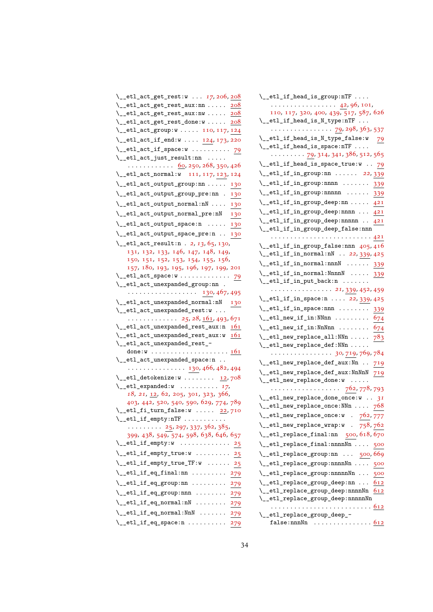| \__etl_act_get_rest:w  17, 206, 208                                                             |
|-------------------------------------------------------------------------------------------------|
| \__etl_act_get_rest_aux:nn  208                                                                 |
| \__etl_act_get_rest_aux:nw<br>208                                                               |
| \__etl_act_get_rest_done:w  208                                                                 |
| \__etl_act_group:w  110, 117, 124                                                               |
| \__etl_act_if_end:w  124, 173, 220                                                              |
| \__etl_act_if_space:w  79                                                                       |
| $\setminus$ _etl_act_just_result:nn                                                             |
| . <u>60</u> , 250, 268, 350, 426                                                                |
| \__etl_act_normal:w 111, 117, 123, 124                                                          |
| \__etl_act_output_group:nn  130                                                                 |
| \__etl_act_output_group_pre:nn . 130                                                            |
| \__etl_act_output_normal:nN  130                                                                |
| \__etl_act_output_normal_pre:nN<br>130                                                          |
| \__etl_act_output_space:n  130                                                                  |
| \__etl_act_output_space_pre:n  130                                                              |
| \__etl_act_result:n . 2, 13, 65, 130,                                                           |
| 131, 132, 133, 146, 147, 148, 149,                                                              |
| 150, 151, 152, 153, 154, 155, 156,                                                              |
| 157, 180, 193, 195, 196, 197, 199, 201                                                          |
| $\setminus$ _etl_act_space:w  79                                                                |
| \__etl_act_unexpanded_group:nn .                                                                |
| . 130, 467, 495                                                                                 |
| \__etl_act_unexpanded_normal:nN<br>130                                                          |
| \__etl_act_unexpanded_rest:w<br>$\ldots \ldots \ldots \ldots 25, 28, \underline{161}, 493, 671$ |
| $\setminus$ _etl_act_unexpanded_rest_aux:n $161$                                                |
| \__etl_act_unexpanded_rest_aux:w 161                                                            |
| \__etl_act_unexpanded_rest_-                                                                    |
|                                                                                                 |
| \__etl_act_unexpanded_space:n                                                                   |
| $\cdots \cdots \cdots \cdots \cdots 130, 466, 482, 494$                                         |
|                                                                                                 |
| $\_{et}$ -etl_detokenize:w  12,708                                                              |
| $\setminus$ _etl_expanded:w  17,                                                                |
| 18, 21, <u>12</u> , 62, 205, 301, 323, 366,                                                     |
| 403, 442, 520, 540, 590, 629, 774, 789                                                          |
| $\setminus$ _etl_fi_turn_false:w  22,710                                                        |
| $\setminus$ _etl_if_empty:nTF                                                                   |
| 25, 297, 337, 362, 385,                                                                         |
| 399, 438, 549, 574, 598, 638, 646, 657                                                          |
| $\setminus$ _etl_if_empty:w  25                                                                 |
| $\setminus$ _etl_if_empty_true:w  25                                                            |
| $\setminus$ _etl_if_empty_true_TF:w  25                                                         |
| $\setminus$ _etl_if_eq_final:nn  279                                                            |
| $\setminus$ _etl_if_eq_group:nn  279                                                            |
| $\setminus$ _etl_if_eq_group:nnn  279                                                           |
| $\setminus$ _etl_if_eq_normal:nN  279                                                           |
| $\setminus$ _etl_if_eq_normal:NnN  279<br>$\setminus$ _etl_if_eq_space:n  279                   |

| $\verb \\_etl_if_{head_is_grow:nTF $                         |      |
|--------------------------------------------------------------|------|
| . 42, 96, 101,                                               |      |
| 110, 117, 320, 400, 439, 517, 587, 626                       |      |
| $\setminus$ _etl_if_head_is_N_type:nTF                       |      |
| . 79, 298, 363, 537                                          |      |
| \__etl_if_head_is_N_type_false:w                             | 79   |
| $\setminus$ _etl_if_head_is_space:nTF                        |      |
| $\cdots$ $\cdots$ 79, 314, 341, 386, 512, 565                |      |
| $\setminus \_ {\texttt{etl\_if\_head\_is\_space\_true:w}}$ . | 79   |
| $\_{etl\_etl\_if\_in\_group:nn$ 22,339                       |      |
| $\setminus$ _etl_if_in_group:nnnn  339                       |      |
| $\setminus _{\texttt{\_}etl\_if\_in\_group:nnnnn$            | 339  |
| $\setminus _{\texttt{\_}etl\_if\_in\_group\_deep:nn} \dots.$ | 421  |
| $\setminus$ _etl_if_in_group_deep:nnnn  421                  |      |
| $\setminus _{\texttt{\_}etl\_if\_in\_group\_deep:nnnnn}$     | 421  |
| $\verb \__etl__if__in_group_deep_false:nnn$                  |      |
| .                                                            | .421 |
| \__etl_if_in_group_false:nnn 405,416                         |      |
| \__etl_if_in_normal:nN  22, 339, 425                         |      |
| $\setminus$ _etl_if_in_normal:nnnN  339                      |      |
| $\setminus$ _etl_if_in_normal:NnnnN  339                     |      |
| $\verb \__etl__if__in__put_back:n$<br>$\cdots$               |      |
| 21, 339, 452, 459                                            |      |
| \__etl_if_in_space:n  22, 339, 425                           |      |
| $\setminus$ _etl_if_in_space:nnn                             | 339  |
| $\setminus _{\text{--}}$ etl_new_if_in:NNnn                  | 674  |
| $\setminus _{\texttt{\_}etl\_new\_if\_in: NnNnn}$            | 674  |
| $\setminus \_ \texttt{etl_new\_replace\_all:NNn} \dots$      | 783  |
| $\setminus$ _etl_new_replace_def:NNn                         |      |
| $\cdots$ 30, 719, 769, 784                                   |      |
| $\setminus \_ {\texttt{etl\_new\_replace\_def\_aux}}$ :Nn    | 719  |
| $\setminus$ _etl_new_replace_def_aux:NnNnN                   | 719  |
| $\setminus$ _etl_new_replace_done:w                          |      |
| . 762, 778, 793                                              |      |
| $\setminus$ _etl_new_replace_done_once:w  31                 |      |
| $\setminus$ _etl_new_replace_once:NNn  768                   |      |
| \__etl_new_replace_once:w . 762,777                          |      |
| $\_{et1\_new\_replace\_wrap:w}$ . 758,762                    |      |
| \__etl_replace_final:nn 500, 618, 670                        |      |
| \__etl_replace_final:nnnnNn  500                             |      |
| \__etl_replace_group:nn  500,669                             |      |
| \__etl_replace_group:nnnnNn  500                             |      |
| \__etl_replace_group:nnnnnNn                                 | 500  |
| $\setminus$ _etl_replace_group_deep:nn                       | 612  |
| $\verb \_et1_replace\_group\_deep:nnnnNn $                   | 612  |
| \__etl_replace_group_deep:nnnnnNn                            |      |
|                                                              |      |
| \__etl_replace_group_deep_-                                  |      |
| false: nnnNn $\ldots \ldots \ldots \ldots \frac{612}{2}$     |      |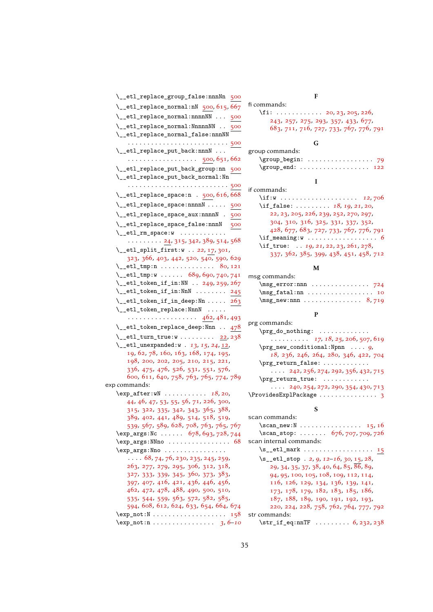| \__etl_replace_group_false:nnnNn 500                                                       |
|--------------------------------------------------------------------------------------------|
| $\_{et1}$ replace_normal:nN 500, 615, 667                                                  |
| \__etl_replace_normal:nnnnNN  500                                                          |
| \__etl_replace_normal:NnnnnNN<br>500                                                       |
| \__etl_replace_normal_false:nnnNN                                                          |
|                                                                                            |
| \__etl_replace_put_back:nnnN                                                               |
| . 500, 651, 662                                                                            |
| \__etl_replace_put_back_group:nn 500                                                       |
| \__etl_replace_put_back_normal:Nn                                                          |
|                                                                                            |
| $\_{et}$ -etl_replace_space:n . 500, 616, 668                                              |
| \__etl_replace_space:nnnnN  500                                                            |
| \__etl_replace_space_aux:nnnnN .<br>500                                                    |
| \__etl_replace_space_false:nnnN 500                                                        |
| $\setminus _{\texttt{\_}etl\_rm\_space:w~~\ldots\ldots\ldots.}$                            |
| $\cdots \cdots \frac{24}{315}$ , 342, 389, 514, 568                                        |
| \__etl_split_first:w  22, 17, 301,                                                         |
| 323, 366, 403, 442, 520, 540, 590, 629                                                     |
| \__etl_tmp:n  80,121                                                                       |
| $\_{\_}ett_{\_}t$ 689, 690, 740, 741                                                       |
| $\setminus$ _etl_token_if_in:NN  249, 259, 267                                             |
| $\setminus$ _etl_token_if_in:NnN  245                                                      |
| $\setminus$ _etl_token_if_in_deep:Nn  263                                                  |
| \__etl_token_replace:NnnN                                                                  |
| . 462, 481, 493                                                                            |
| \__etl_token_replace_deep:Nnn  478                                                         |
| \__etl_turn_true:w  22, 238                                                                |
| \__etl_unexpanded:w . 13, 15, 24, 12,<br>19, 62, 78, 160, 163, 168, 174, 195,              |
| 198, 200, 202, 205, 210, 215, 221,                                                         |
| 336, 475, 476, 526, 531, 551, 576,                                                         |
| 600, 611, 640, 758, 763, 765, 774, 789                                                     |
| exp commands:                                                                              |
| $\exp_{after:wN}$ 18, 20,                                                                  |
| 44, 46, 47, 53, 55, 56, 71, 226, 300,                                                      |
| 315, 322, 335, 342, 343, 365, 388,                                                         |
| 389, 402, 441, 489, 514, 518, 519,                                                         |
| 539, 567, 589, 628, 708, 763, 765, 767                                                     |
| \exp_args:Nc  678, 693, 728, 744<br>$\exp_args: NNno \ldots \ldots \ldots 68$              |
| \exp_args:Nno                                                                              |
| $\ldots$ 68, 74, 76, 230, 235, 245, 259,                                                   |
| 263, 277, 279, 295, 306, 312, 318,                                                         |
| 327, 333, 339, 345, 360, 373, 383,                                                         |
| 397, 407, 416, 421, 436, 446, 456,                                                         |
| 462, 472, 478, 488, 490, 500, 510,                                                         |
| 535, 544, 559, 563, 572, 582, 585,                                                         |
| 594, 608, 612, 624, 633, 654, 664, 674<br>$\exp_not: N \ldots \ldots \ldots \ldots$<br>158 |
| $\exp_not: n \ldots \ldots \ldots \ldots \quad 3, 6-10$                                    |
|                                                                                            |

# F

| fi commands:                                     |                                        |
|--------------------------------------------------|----------------------------------------|
| $\{fi: \ldots: \ldots: \ldots$ 20, 23, 205, 226, |                                        |
|                                                  | 243, 257, 275, 293, 357, 433, 677,     |
|                                                  | 683, 711, 716, 727, 733, 767, 776, 791 |

# G

| group commands:                              |  |  |  |  |  |  |  |  |  |  |
|----------------------------------------------|--|--|--|--|--|--|--|--|--|--|
|                                              |  |  |  |  |  |  |  |  |  |  |
|                                              |  |  |  |  |  |  |  |  |  |  |
|                                              |  |  |  |  |  |  |  |  |  |  |
| $: \mathcal{L}$ a consequently $\mathcal{L}$ |  |  |  |  |  |  |  |  |  |  |

| if commands:                           |
|----------------------------------------|
| \if:w  12,706                          |
| \if_false: $18, 19, 21, 20$ ,          |
| 22, 23, 205, 226, 239, 252, 270, 297,  |
| 304, 310, 316, 325, 331, 337, 352,     |
| 428, 677, 683, 727, 733, 767, 776, 791 |
|                                        |
| \if_true: $19, 21, 22, 23, 261, 278$ , |
| 337, 362, 385, 399, 438, 451, 458, 712 |

# M

|                                                       | w |  |  |  |  |  |  |  |
|-------------------------------------------------------|---|--|--|--|--|--|--|--|
| msg commands:                                         |   |  |  |  |  |  |  |  |
| $\text{msg\_error:nnn \dots \dots \dots \dots \ 724}$ |   |  |  |  |  |  |  |  |
| $\text{msg\_fatal:nn \dots \dots \dots \dots 10}$     |   |  |  |  |  |  |  |  |
| $\text{msg_new:nnn \dots \dots \dots 8,719}$          |   |  |  |  |  |  |  |  |
|                                                       |   |  |  |  |  |  |  |  |

## P

| prg commands:                                       |
|-----------------------------------------------------|
| $\prg_do_nothing: \ldots \ldots \ldots$             |
| . 17, 18, 25, 206, 507, 619                         |
| $\prg_new_{conditional: Npm \dots g,}$              |
| 18, 236, 246, 264, 280, 346, 422, 704               |
| \prg_return_false:                                  |
| $\cdots$ 242, 256, 274, 292, 356, 432, 715          |
| \prg_return_true:                                   |
| $\cdots$ 240, 254, 272, 290, 354, 430, 713          |
| $\ProvidesExp1Package \ldots \ldots \ldots \quad 3$ |
|                                                     |

# S